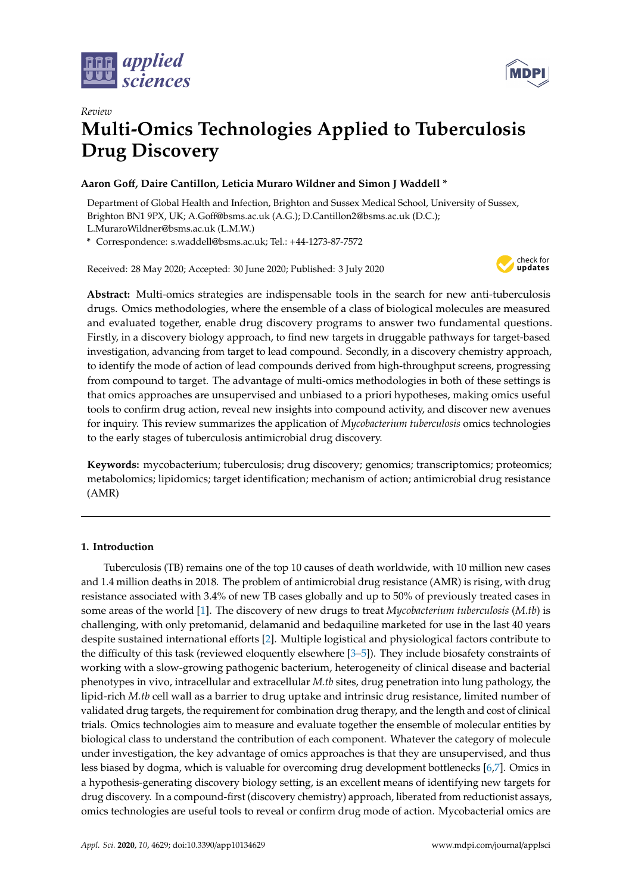



# *Review* **Multi-Omics Technologies Applied to Tuberculosis Drug Discovery**

# **Aaron Go**ff**, Daire Cantillon, Leticia Muraro Wildner and Simon J Waddell \***

Department of Global Health and Infection, Brighton and Sussex Medical School, University of Sussex, Brighton BN1 9PX, UK; A.Goff@bsms.ac.uk (A.G.); D.Cantillon2@bsms.ac.uk (D.C.);

L.MuraroWildner@bsms.ac.uk (L.M.W.)

**\*** Correspondence: s.waddell@bsms.ac.uk; Tel.: +44-1273-87-7572

Received: 28 May 2020; Accepted: 30 June 2020; Published: 3 July 2020



**Abstract:** Multi-omics strategies are indispensable tools in the search for new anti-tuberculosis drugs. Omics methodologies, where the ensemble of a class of biological molecules are measured and evaluated together, enable drug discovery programs to answer two fundamental questions. Firstly, in a discovery biology approach, to find new targets in druggable pathways for target-based investigation, advancing from target to lead compound. Secondly, in a discovery chemistry approach, to identify the mode of action of lead compounds derived from high-throughput screens, progressing from compound to target. The advantage of multi-omics methodologies in both of these settings is that omics approaches are unsupervised and unbiased to a priori hypotheses, making omics useful tools to confirm drug action, reveal new insights into compound activity, and discover new avenues for inquiry. This review summarizes the application of *Mycobacterium tuberculosis* omics technologies to the early stages of tuberculosis antimicrobial drug discovery.

**Keywords:** mycobacterium; tuberculosis; drug discovery; genomics; transcriptomics; proteomics; metabolomics; lipidomics; target identification; mechanism of action; antimicrobial drug resistance (AMR)

# **1. Introduction**

Tuberculosis (TB) remains one of the top 10 causes of death worldwide, with 10 million new cases and 1.4 million deaths in 2018. The problem of antimicrobial drug resistance (AMR) is rising, with drug resistance associated with 3.4% of new TB cases globally and up to 50% of previously treated cases in some areas of the world [\[1\]](#page-13-0). The discovery of new drugs to treat *Mycobacterium tuberculosis* (*M.tb*) is challenging, with only pretomanid, delamanid and bedaquiline marketed for use in the last 40 years despite sustained international efforts [\[2\]](#page-13-1). Multiple logistical and physiological factors contribute to the difficulty of this task (reviewed eloquently elsewhere [\[3](#page-13-2)[–5\]](#page-13-3)). They include biosafety constraints of working with a slow-growing pathogenic bacterium, heterogeneity of clinical disease and bacterial phenotypes in vivo, intracellular and extracellular *M.tb* sites, drug penetration into lung pathology, the lipid-rich *M.tb* cell wall as a barrier to drug uptake and intrinsic drug resistance, limited number of validated drug targets, the requirement for combination drug therapy, and the length and cost of clinical trials. Omics technologies aim to measure and evaluate together the ensemble of molecular entities by biological class to understand the contribution of each component. Whatever the category of molecule under investigation, the key advantage of omics approaches is that they are unsupervised, and thus less biased by dogma, which is valuable for overcoming drug development bottlenecks [\[6](#page-13-4)[,7\]](#page-13-5). Omics in a hypothesis-generating discovery biology setting, is an excellent means of identifying new targets for drug discovery. In a compound-first (discovery chemistry) approach, liberated from reductionist assays, omics technologies are useful tools to reveal or confirm drug mode of action. Mycobacterial omics are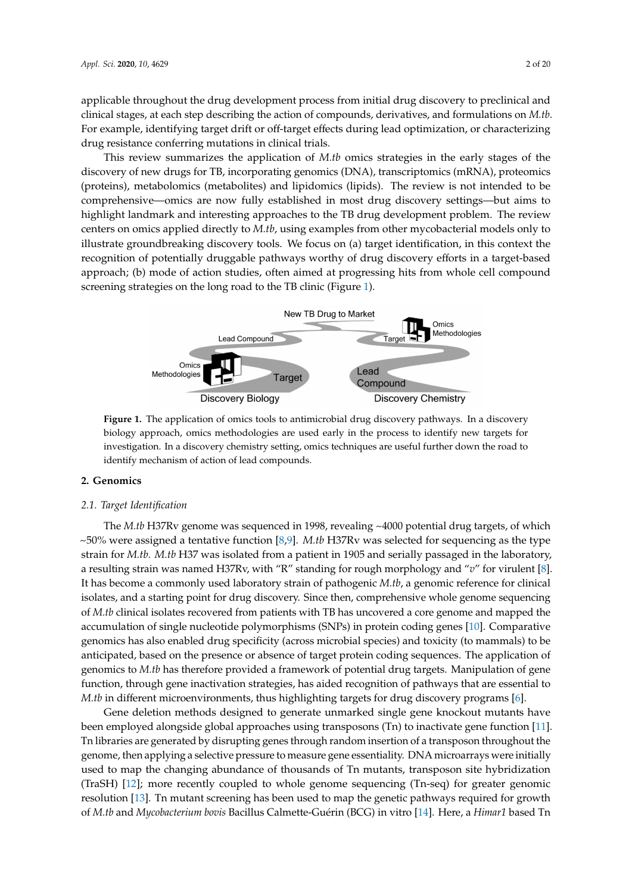applicable throughout the drug development process from initial drug discovery to preclinical and clinical stages, at each step describing the action of compounds, derivatives, and formulations on *M.tb*. For example, identifying target drift or off-target effects during lead optimization, or characterizing drug resistance conferring mutations in clinical trials.

This review summarizes the application of *M.tb* omics strategies in the early stages of the discovery of new drugs for TB, incorporating genomics (DNA), transcriptomics (mRNA), proteomics (proteins), metabolomics (metabolites) and lipidomics (lipids). The review is not intended to be comprehensive—omics are now fully established in most drug discovery settings—but aims to highlight landmark and interesting approaches to the TB drug development problem. The review centers on omics applied directly to *M.tb*, using examples from other mycobacterial models only to illustrate groundbreaking discovery tools. We focus on (a) target identification, in this context the recognition of potentially druggable pathways worthy of drug discovery efforts in a target-based approach; (b) mode of action studies, often aimed at progressing hits from whole cell compound screening strategies on the long road to the TB clinic (Figure [1\)](#page-1-0).

<span id="page-1-0"></span>

**Figure 1.** The application of omics tools to antimicrobial drug discovery pathways. In a discovery biology approach, omics methodologies are used early in the process to identify new targets for investigation. In a discovery chemistry setting, omics techniques are useful further down the road to identify mechanism of action of lead compounds.

# **2. Genomics**

# *2.1. Target Identification*

The *M.tb* H37Rv genome was sequenced in 1998, revealing ~4000 potential drug targets, of which ~50% were assigned a tentative function [\[8](#page-13-6)[,9\]](#page-14-0). *M.tb* H37Rv was selected for sequencing as the type strain for *M.tb. M.tb* H37 was isolated from a patient in 1905 and serially passaged in the laboratory, a resulting strain was named H37Rv, with "R" standing for rough morphology and "*v*" for virulent [\[8\]](#page-13-6). It has become a commonly used laboratory strain of pathogenic *M.tb*, a genomic reference for clinical isolates, and a starting point for drug discovery. Since then, comprehensive whole genome sequencing of *M.tb* clinical isolates recovered from patients with TB has uncovered a core genome and mapped the accumulation of single nucleotide polymorphisms (SNPs) in protein coding genes [\[10\]](#page-14-1). Comparative genomics has also enabled drug specificity (across microbial species) and toxicity (to mammals) to be anticipated, based on the presence or absence of target protein coding sequences. The application of genomics to *M.tb* has therefore provided a framework of potential drug targets. Manipulation of gene function, through gene inactivation strategies, has aided recognition of pathways that are essential to *M.tb* in different microenvironments, thus highlighting targets for drug discovery programs [\[6\]](#page-13-4).

Gene deletion methods designed to generate unmarked single gene knockout mutants have been employed alongside global approaches using transposons (Tn) to inactivate gene function [\[11\]](#page-14-2). Tn libraries are generated by disrupting genes through random insertion of a transposon throughout the genome, then applying a selective pressure to measure gene essentiality. DNA microarrays were initially used to map the changing abundance of thousands of Tn mutants, transposon site hybridization (TraSH) [\[12\]](#page-14-3); more recently coupled to whole genome sequencing (Tn-seq) for greater genomic resolution [\[13\]](#page-14-4). Tn mutant screening has been used to map the genetic pathways required for growth of *M.tb* and *Mycobacterium bovis* Bacillus Calmette-Guérin (BCG) in vitro [\[14\]](#page-14-5). Here, a *Himar1* based Tn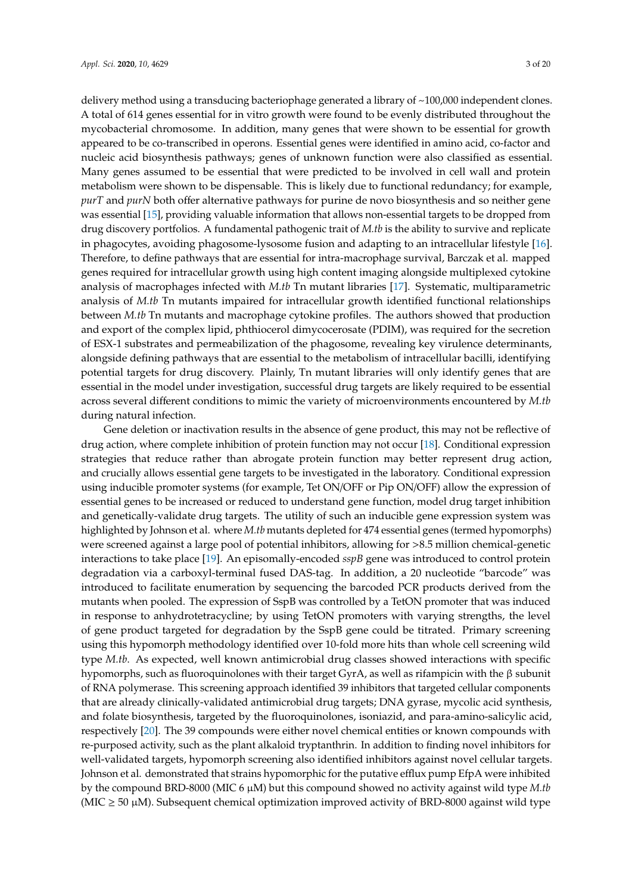delivery method using a transducing bacteriophage generated a library of ~100,000 independent clones. A total of 614 genes essential for in vitro growth were found to be evenly distributed throughout the mycobacterial chromosome. In addition, many genes that were shown to be essential for growth appeared to be co-transcribed in operons. Essential genes were identified in amino acid, co-factor and nucleic acid biosynthesis pathways; genes of unknown function were also classified as essential. Many genes assumed to be essential that were predicted to be involved in cell wall and protein metabolism were shown to be dispensable. This is likely due to functional redundancy; for example, *purT* and *purN* both offer alternative pathways for purine de novo biosynthesis and so neither gene was essential [\[15\]](#page-14-6), providing valuable information that allows non-essential targets to be dropped from drug discovery portfolios. A fundamental pathogenic trait of *M.tb* is the ability to survive and replicate in phagocytes, avoiding phagosome-lysosome fusion and adapting to an intracellular lifestyle [\[16\]](#page-14-7). Therefore, to define pathways that are essential for intra-macrophage survival, Barczak et al. mapped genes required for intracellular growth using high content imaging alongside multiplexed cytokine analysis of macrophages infected with *M.tb* Tn mutant libraries [\[17\]](#page-14-8). Systematic, multiparametric analysis of *M.tb* Tn mutants impaired for intracellular growth identified functional relationships between *M.tb* Tn mutants and macrophage cytokine profiles. The authors showed that production and export of the complex lipid, phthiocerol dimycocerosate (PDIM), was required for the secretion of ESX-1 substrates and permeabilization of the phagosome, revealing key virulence determinants, alongside defining pathways that are essential to the metabolism of intracellular bacilli, identifying potential targets for drug discovery. Plainly, Tn mutant libraries will only identify genes that are essential in the model under investigation, successful drug targets are likely required to be essential across several different conditions to mimic the variety of microenvironments encountered by *M.tb* during natural infection.

Gene deletion or inactivation results in the absence of gene product, this may not be reflective of drug action, where complete inhibition of protein function may not occur [\[18\]](#page-14-9). Conditional expression strategies that reduce rather than abrogate protein function may better represent drug action, and crucially allows essential gene targets to be investigated in the laboratory. Conditional expression using inducible promoter systems (for example, Tet ON/OFF or Pip ON/OFF) allow the expression of essential genes to be increased or reduced to understand gene function, model drug target inhibition and genetically-validate drug targets. The utility of such an inducible gene expression system was highlighted by Johnson et al. where *M.tb* mutants depleted for 474 essential genes (termed hypomorphs) were screened against a large pool of potential inhibitors, allowing for >8.5 million chemical-genetic interactions to take place [\[19\]](#page-14-10). An episomally-encoded *sspB* gene was introduced to control protein degradation via a carboxyl-terminal fused DAS-tag. In addition, a 20 nucleotide "barcode" was introduced to facilitate enumeration by sequencing the barcoded PCR products derived from the mutants when pooled. The expression of SspB was controlled by a TetON promoter that was induced in response to anhydrotetracycline; by using TetON promoters with varying strengths, the level of gene product targeted for degradation by the SspB gene could be titrated. Primary screening using this hypomorph methodology identified over 10-fold more hits than whole cell screening wild type *M.tb*. As expected, well known antimicrobial drug classes showed interactions with specific hypomorphs, such as fluoroquinolones with their target GyrA, as well as rifampicin with the β subunit of RNA polymerase. This screening approach identified 39 inhibitors that targeted cellular components that are already clinically-validated antimicrobial drug targets; DNA gyrase, mycolic acid synthesis, and folate biosynthesis, targeted by the fluoroquinolones, isoniazid, and para-amino-salicylic acid, respectively [\[20\]](#page-14-11). The 39 compounds were either novel chemical entities or known compounds with re-purposed activity, such as the plant alkaloid tryptanthrin. In addition to finding novel inhibitors for well-validated targets, hypomorph screening also identified inhibitors against novel cellular targets. Johnson et al. demonstrated that strains hypomorphic for the putative efflux pump EfpA were inhibited by the compound BRD-8000 (MIC 6  $\mu$ M) but this compound showed no activity against wild type *M.tb* (MIC  $\geq$  50  $\mu$ M). Subsequent chemical optimization improved activity of BRD-8000 against wild type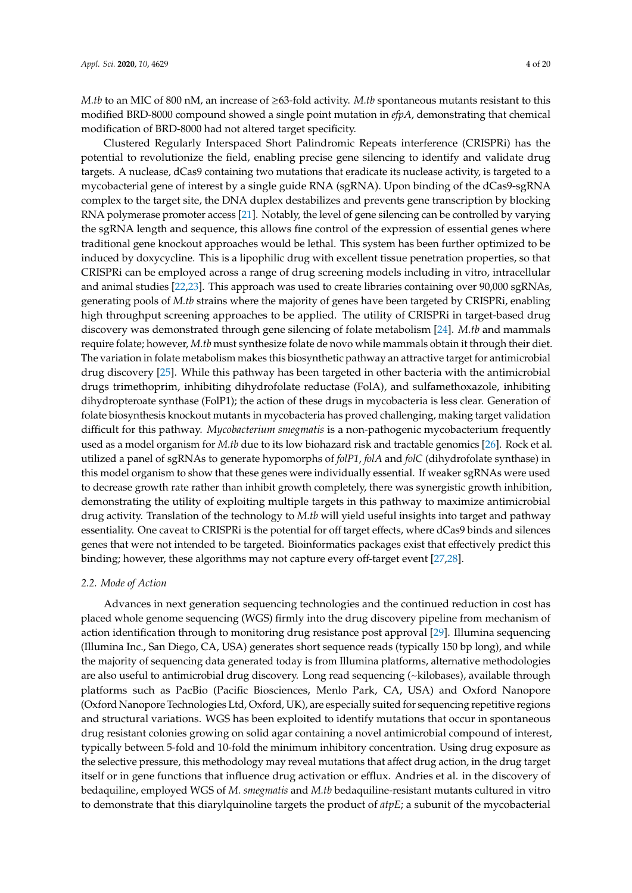*M.tb* to an MIC of 800 nM, an increase of ≥63-fold activity. *M.tb* spontaneous mutants resistant to this modified BRD-8000 compound showed a single point mutation in *efpA*, demonstrating that chemical modification of BRD-8000 had not altered target specificity.

Clustered Regularly Interspaced Short Palindromic Repeats interference (CRISPRi) has the potential to revolutionize the field, enabling precise gene silencing to identify and validate drug targets. A nuclease, dCas9 containing two mutations that eradicate its nuclease activity, is targeted to a mycobacterial gene of interest by a single guide RNA (sgRNA). Upon binding of the dCas9-sgRNA complex to the target site, the DNA duplex destabilizes and prevents gene transcription by blocking RNA polymerase promoter access [\[21\]](#page-14-12). Notably, the level of gene silencing can be controlled by varying the sgRNA length and sequence, this allows fine control of the expression of essential genes where traditional gene knockout approaches would be lethal. This system has been further optimized to be induced by doxycycline. This is a lipophilic drug with excellent tissue penetration properties, so that CRISPRi can be employed across a range of drug screening models including in vitro, intracellular and animal studies [\[22](#page-14-13)[,23\]](#page-14-14). This approach was used to create libraries containing over 90,000 sgRNAs, generating pools of *M.tb* strains where the majority of genes have been targeted by CRISPRi, enabling high throughput screening approaches to be applied. The utility of CRISPRi in target-based drug discovery was demonstrated through gene silencing of folate metabolism [\[24\]](#page-14-15). *M.tb* and mammals require folate; however, *M.tb* must synthesize folate de novo while mammals obtain it through their diet. The variation in folate metabolism makes this biosynthetic pathway an attractive target for antimicrobial drug discovery [\[25\]](#page-14-16). While this pathway has been targeted in other bacteria with the antimicrobial drugs trimethoprim, inhibiting dihydrofolate reductase (FolA), and sulfamethoxazole, inhibiting dihydropteroate synthase (FolP1); the action of these drugs in mycobacteria is less clear. Generation of folate biosynthesis knockout mutants in mycobacteria has proved challenging, making target validation difficult for this pathway. *Mycobacterium smegmatis* is a non-pathogenic mycobacterium frequently used as a model organism for *M.tb* due to its low biohazard risk and tractable genomics [\[26\]](#page-14-17). Rock et al. utilized a panel of sgRNAs to generate hypomorphs of *folP1*, *folA* and *folC* (dihydrofolate synthase) in this model organism to show that these genes were individually essential. If weaker sgRNAs were used to decrease growth rate rather than inhibit growth completely, there was synergistic growth inhibition, demonstrating the utility of exploiting multiple targets in this pathway to maximize antimicrobial drug activity. Translation of the technology to *M.tb* will yield useful insights into target and pathway essentiality. One caveat to CRISPRi is the potential for off target effects, where dCas9 binds and silences genes that were not intended to be targeted. Bioinformatics packages exist that effectively predict this binding; however, these algorithms may not capture every off-target event [\[27](#page-14-18)[,28\]](#page-14-19).

#### *2.2. Mode of Action*

Advances in next generation sequencing technologies and the continued reduction in cost has placed whole genome sequencing (WGS) firmly into the drug discovery pipeline from mechanism of action identification through to monitoring drug resistance post approval [\[29\]](#page-14-20). Illumina sequencing (Illumina Inc., San Diego, CA, USA) generates short sequence reads (typically 150 bp long), and while the majority of sequencing data generated today is from Illumina platforms, alternative methodologies are also useful to antimicrobial drug discovery. Long read sequencing (~kilobases), available through platforms such as PacBio (Pacific Biosciences, Menlo Park, CA, USA) and Oxford Nanopore (Oxford Nanopore Technologies Ltd, Oxford, UK), are especially suited for sequencing repetitive regions and structural variations. WGS has been exploited to identify mutations that occur in spontaneous drug resistant colonies growing on solid agar containing a novel antimicrobial compound of interest, typically between 5-fold and 10-fold the minimum inhibitory concentration. Using drug exposure as the selective pressure, this methodology may reveal mutations that affect drug action, in the drug target itself or in gene functions that influence drug activation or efflux. Andries et al. in the discovery of bedaquiline, employed WGS of *M. smegmatis* and *M.tb* bedaquiline-resistant mutants cultured in vitro to demonstrate that this diarylquinoline targets the product of *atpE*; a subunit of the mycobacterial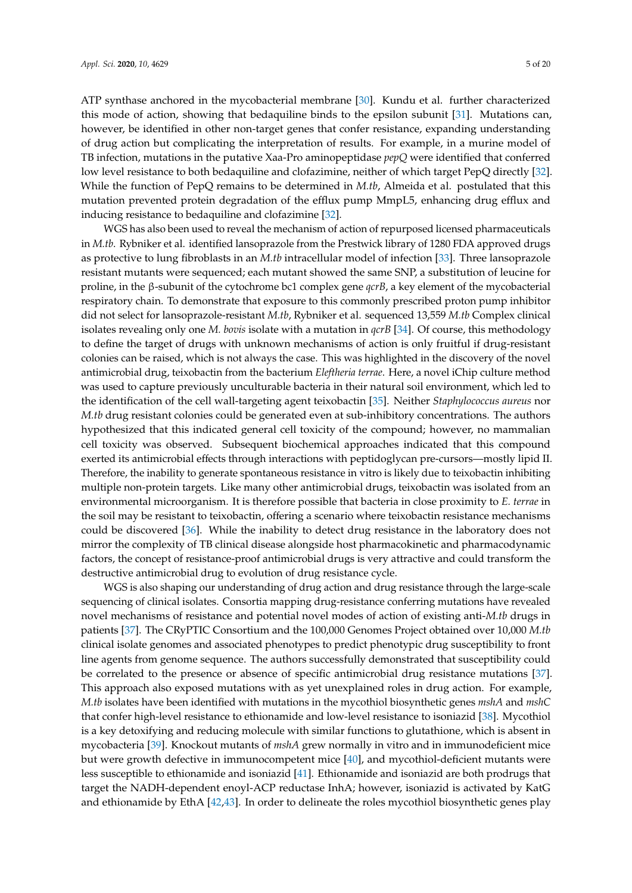ATP synthase anchored in the mycobacterial membrane [\[30\]](#page-15-0). Kundu et al. further characterized this mode of action, showing that bedaquiline binds to the epsilon subunit [\[31\]](#page-15-1). Mutations can, however, be identified in other non-target genes that confer resistance, expanding understanding of drug action but complicating the interpretation of results. For example, in a murine model of TB infection, mutations in the putative Xaa-Pro aminopeptidase *pepQ* were identified that conferred low level resistance to both bedaquiline and clofazimine, neither of which target PepQ directly [\[32\]](#page-15-2). While the function of PepQ remains to be determined in *M.tb*, Almeida et al. postulated that this mutation prevented protein degradation of the efflux pump MmpL5, enhancing drug efflux and inducing resistance to bedaquiline and clofazimine [\[32\]](#page-15-2).

WGS has also been used to reveal the mechanism of action of repurposed licensed pharmaceuticals in *M.tb*. Rybniker et al. identified lansoprazole from the Prestwick library of 1280 FDA approved drugs as protective to lung fibroblasts in an *M.tb* intracellular model of infection [\[33\]](#page-15-3). Three lansoprazole resistant mutants were sequenced; each mutant showed the same SNP, a substitution of leucine for proline, in the β-subunit of the cytochrome bc1 complex gene *qcrB*, a key element of the mycobacterial respiratory chain. To demonstrate that exposure to this commonly prescribed proton pump inhibitor did not select for lansoprazole-resistant *M.tb*, Rybniker et al. sequenced 13,559 *M.tb* Complex clinical isolates revealing only one *M. bovis* isolate with a mutation in *qcrB* [\[34\]](#page-15-4). Of course, this methodology to define the target of drugs with unknown mechanisms of action is only fruitful if drug-resistant colonies can be raised, which is not always the case. This was highlighted in the discovery of the novel antimicrobial drug, teixobactin from the bacterium *Eleftheria terrae*. Here, a novel iChip culture method was used to capture previously unculturable bacteria in their natural soil environment, which led to the identification of the cell wall-targeting agent teixobactin [\[35\]](#page-15-5). Neither *Staphylococcus aureus* nor *M.tb* drug resistant colonies could be generated even at sub-inhibitory concentrations. The authors hypothesized that this indicated general cell toxicity of the compound; however, no mammalian cell toxicity was observed. Subsequent biochemical approaches indicated that this compound exerted its antimicrobial effects through interactions with peptidoglycan pre-cursors—mostly lipid II. Therefore, the inability to generate spontaneous resistance in vitro is likely due to teixobactin inhibiting multiple non-protein targets. Like many other antimicrobial drugs, teixobactin was isolated from an environmental microorganism. It is therefore possible that bacteria in close proximity to *E. terrae* in the soil may be resistant to teixobactin, offering a scenario where teixobactin resistance mechanisms could be discovered [\[36\]](#page-15-6). While the inability to detect drug resistance in the laboratory does not mirror the complexity of TB clinical disease alongside host pharmacokinetic and pharmacodynamic factors, the concept of resistance-proof antimicrobial drugs is very attractive and could transform the destructive antimicrobial drug to evolution of drug resistance cycle.

WGS is also shaping our understanding of drug action and drug resistance through the large-scale sequencing of clinical isolates. Consortia mapping drug-resistance conferring mutations have revealed novel mechanisms of resistance and potential novel modes of action of existing anti-*M.tb* drugs in patients [\[37\]](#page-15-7). The CRyPTIC Consortium and the 100,000 Genomes Project obtained over 10,000 *M.tb* clinical isolate genomes and associated phenotypes to predict phenotypic drug susceptibility to front line agents from genome sequence. The authors successfully demonstrated that susceptibility could be correlated to the presence or absence of specific antimicrobial drug resistance mutations [\[37\]](#page-15-7). This approach also exposed mutations with as yet unexplained roles in drug action. For example, *M.tb* isolates have been identified with mutations in the mycothiol biosynthetic genes *mshA* and *mshC* that confer high-level resistance to ethionamide and low-level resistance to isoniazid [\[38\]](#page-15-8). Mycothiol is a key detoxifying and reducing molecule with similar functions to glutathione, which is absent in mycobacteria [\[39\]](#page-15-9). Knockout mutants of *mshA* grew normally in vitro and in immunodeficient mice but were growth defective in immunocompetent mice [\[40\]](#page-15-10), and mycothiol-deficient mutants were less susceptible to ethionamide and isoniazid [\[41\]](#page-15-11). Ethionamide and isoniazid are both prodrugs that target the NADH-dependent enoyl-ACP reductase InhA; however, isoniazid is activated by KatG and ethionamide by EthA [\[42,](#page-15-12)[43\]](#page-15-13). In order to delineate the roles mycothiol biosynthetic genes play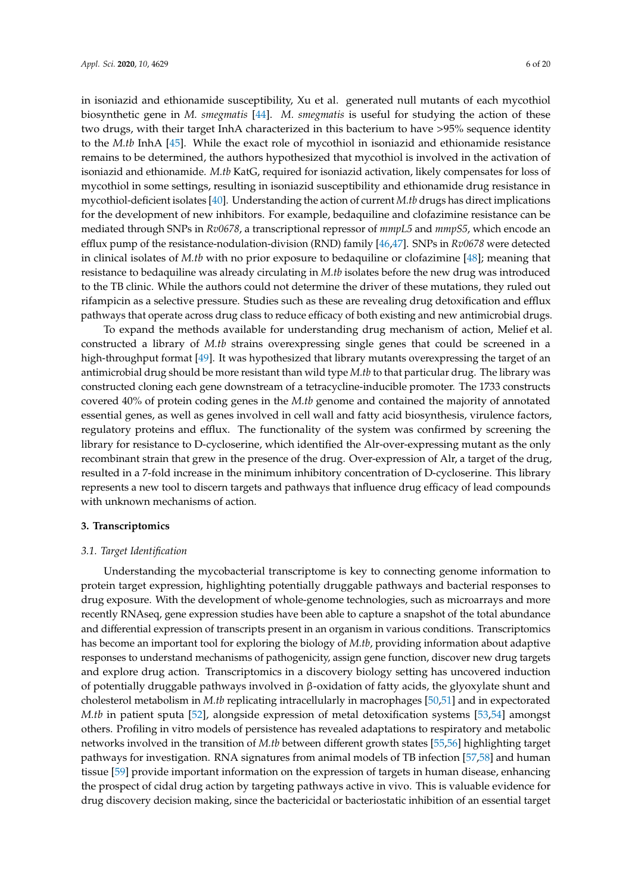in isoniazid and ethionamide susceptibility, Xu et al. generated null mutants of each mycothiol biosynthetic gene in *M. smegmatis* [\[44\]](#page-15-14). *M. smegmatis* is useful for studying the action of these two drugs, with their target InhA characterized in this bacterium to have >95% sequence identity to the *M.tb* InhA [\[45\]](#page-15-15). While the exact role of mycothiol in isoniazid and ethionamide resistance remains to be determined, the authors hypothesized that mycothiol is involved in the activation of isoniazid and ethionamide. *M.tb* KatG, required for isoniazid activation, likely compensates for loss of mycothiol in some settings, resulting in isoniazid susceptibility and ethionamide drug resistance in mycothiol-deficient isolates [\[40\]](#page-15-10). Understanding the action of current *M.tb* drugs has direct implications for the development of new inhibitors. For example, bedaquiline and clofazimine resistance can be mediated through SNPs in *Rv0678*, a transcriptional repressor of *mmpL5* and *mmpS5*, which encode an efflux pump of the resistance-nodulation-division (RND) family [\[46,](#page-15-16)[47\]](#page-15-17). SNPs in *Rv0678* were detected in clinical isolates of *M.tb* with no prior exposure to bedaquiline or clofazimine [\[48\]](#page-15-18); meaning that resistance to bedaquiline was already circulating in *M.tb* isolates before the new drug was introduced to the TB clinic. While the authors could not determine the driver of these mutations, they ruled out rifampicin as a selective pressure. Studies such as these are revealing drug detoxification and efflux pathways that operate across drug class to reduce efficacy of both existing and new antimicrobial drugs.

To expand the methods available for understanding drug mechanism of action, Melief et al. constructed a library of *M.tb* strains overexpressing single genes that could be screened in a high-throughput format [\[49\]](#page-15-19). It was hypothesized that library mutants overexpressing the target of an antimicrobial drug should be more resistant than wild type *M.tb* to that particular drug. The library was constructed cloning each gene downstream of a tetracycline-inducible promoter. The 1733 constructs covered 40% of protein coding genes in the *M.tb* genome and contained the majority of annotated essential genes, as well as genes involved in cell wall and fatty acid biosynthesis, virulence factors, regulatory proteins and efflux. The functionality of the system was confirmed by screening the library for resistance to D-cycloserine, which identified the Alr-over-expressing mutant as the only recombinant strain that grew in the presence of the drug. Over-expression of Alr, a target of the drug, resulted in a 7-fold increase in the minimum inhibitory concentration of D-cycloserine. This library represents a new tool to discern targets and pathways that influence drug efficacy of lead compounds with unknown mechanisms of action.

# **3. Transcriptomics**

## *3.1. Target Identification*

Understanding the mycobacterial transcriptome is key to connecting genome information to protein target expression, highlighting potentially druggable pathways and bacterial responses to drug exposure. With the development of whole-genome technologies, such as microarrays and more recently RNAseq, gene expression studies have been able to capture a snapshot of the total abundance and differential expression of transcripts present in an organism in various conditions. Transcriptomics has become an important tool for exploring the biology of *M.tb*, providing information about adaptive responses to understand mechanisms of pathogenicity, assign gene function, discover new drug targets and explore drug action. Transcriptomics in a discovery biology setting has uncovered induction of potentially druggable pathways involved in β-oxidation of fatty acids, the glyoxylate shunt and cholesterol metabolism in *M.tb* replicating intracellularly in macrophages [\[50](#page-16-0)[,51\]](#page-16-1) and in expectorated *M.tb* in patient sputa [\[52\]](#page-16-2), alongside expression of metal detoxification systems [\[53,](#page-16-3)[54\]](#page-16-4) amongst others. Profiling in vitro models of persistence has revealed adaptations to respiratory and metabolic networks involved in the transition of *M.tb* between different growth states [\[55](#page-16-5)[,56\]](#page-16-6) highlighting target pathways for investigation. RNA signatures from animal models of TB infection [\[57,](#page-16-7)[58\]](#page-16-8) and human tissue [\[59\]](#page-16-9) provide important information on the expression of targets in human disease, enhancing the prospect of cidal drug action by targeting pathways active in vivo. This is valuable evidence for drug discovery decision making, since the bactericidal or bacteriostatic inhibition of an essential target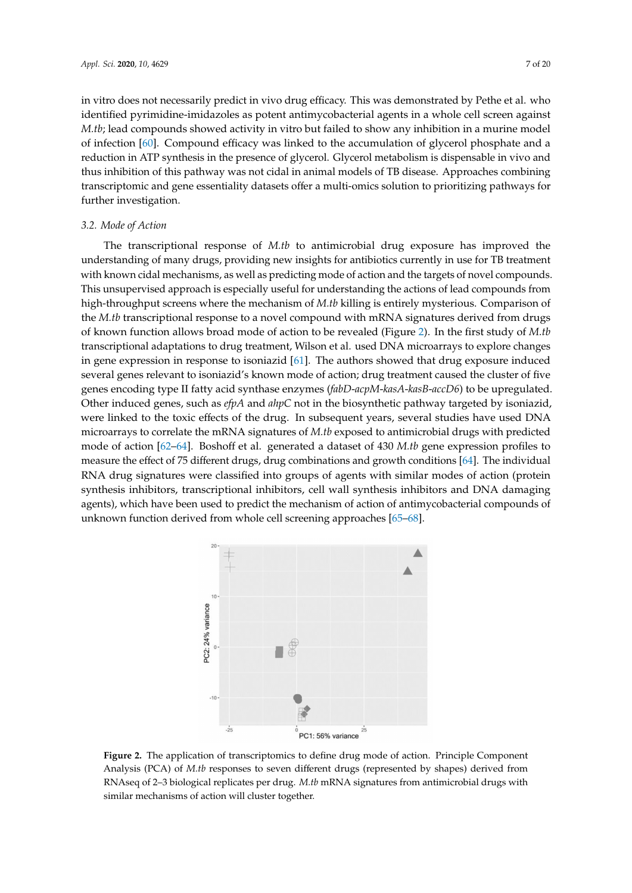in vitro does not necessarily predict in vivo drug efficacy. This was demonstrated by Pethe et al. who identified pyrimidine-imidazoles as potent antimycobacterial agents in a whole cell screen against *M.tb*; lead compounds showed activity in vitro but failed to show any inhibition in a murine model of infection [\[60\]](#page-16-10). Compound efficacy was linked to the accumulation of glycerol phosphate and a reduction in ATP synthesis in the presence of glycerol. Glycerol metabolism is dispensable in vivo and thus inhibition of this pathway was not cidal in animal models of TB disease. Approaches combining transcriptomic and gene essentiality datasets offer a multi-omics solution to prioritizing pathways for further investigation.

# *3.2. Mode of Action*

The transcriptional response of *M.tb* to antimicrobial drug exposure has improved the understanding of many drugs, providing new insights for antibiotics currently in use for TB treatment with known cidal mechanisms, as well as predicting mode of action and the targets of novel compounds. This unsupervised approach is especially useful for understanding the actions of lead compounds from high-throughput screens where the mechanism of *M.tb* killing is entirely mysterious. Comparison of the *M.tb* transcriptional response to a novel compound with mRNA signatures derived from drugs of known function allows broad mode of action to be revealed (Figure [2\)](#page-6-0). In the first study of *M.tb* transcriptional adaptations to drug treatment, Wilson et al. used DNA microarrays to explore changes in gene expression in response to isoniazid [\[61\]](#page-16-11). The authors showed that drug exposure induced several genes relevant to isoniazid's known mode of action; drug treatment caused the cluster of five genes encoding type II fatty acid synthase enzymes (*fabD*-*acpM*-*kasA*-*kasB*-*accD6*) to be upregulated. Other induced genes, such as *efpA* and *ahpC* not in the biosynthetic pathway targeted by isoniazid, were linked to the toxic effects of the drug. In subsequent years, several studies have used DNA microarrays to correlate the mRNA signatures of *M.tb* exposed to antimicrobial drugs with predicted mode of action [\[62](#page-16-12)[–64\]](#page-16-13). Boshoff et al. generated a dataset of 430 *M.tb* gene expression profiles to measure the effect of 75 different drugs, drug combinations and growth conditions [\[64\]](#page-16-13). The individual RNA drug signatures were classified into groups of agents with similar modes of action (protein synthesis inhibitors, transcriptional inhibitors, cell wall synthesis inhibitors and DNA damaging agents), which have been used to predict the mechanism of action of antimycobacterial compounds of unknown function derived from whole cell screening approaches [\[65](#page-16-14)[–68\]](#page-17-0).

<span id="page-6-0"></span>

**Figure 2.** The application of transcriptomics to define drug mode of action. Principle Component Analysis (PCA) of *M.tb* responses to seven different drugs (represented by shapes) derived from RNAseq of 2–3 biological replicates per drug. *M.tb* mRNA signatures from antimicrobial drugs with similar mechanisms of action will cluster together.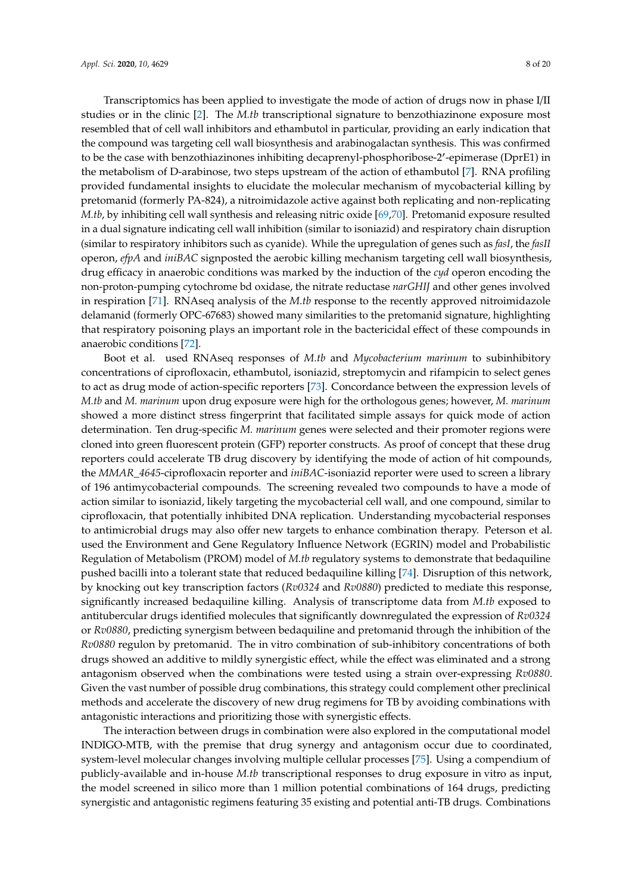Transcriptomics has been applied to investigate the mode of action of drugs now in phase I/II studies or in the clinic [\[2\]](#page-13-1). The *M.tb* transcriptional signature to benzothiazinone exposure most resembled that of cell wall inhibitors and ethambutol in particular, providing an early indication that the compound was targeting cell wall biosynthesis and arabinogalactan synthesis. This was confirmed to be the case with benzothiazinones inhibiting decaprenyl-phosphoribose-2'-epimerase (DprE1) in the metabolism of D-arabinose, two steps upstream of the action of ethambutol [\[7\]](#page-13-5). RNA profiling provided fundamental insights to elucidate the molecular mechanism of mycobacterial killing by pretomanid (formerly PA-824), a nitroimidazole active against both replicating and non-replicating *M.tb*, by inhibiting cell wall synthesis and releasing nitric oxide [\[69](#page-17-1)[,70\]](#page-17-2). Pretomanid exposure resulted in a dual signature indicating cell wall inhibition (similar to isoniazid) and respiratory chain disruption (similar to respiratory inhibitors such as cyanide). While the upregulation of genes such as *fasI*, the *fasII* operon, *efpA* and *iniBAC* signposted the aerobic killing mechanism targeting cell wall biosynthesis, drug efficacy in anaerobic conditions was marked by the induction of the *cyd* operon encoding the non-proton-pumping cytochrome bd oxidase, the nitrate reductase *narGHIJ* and other genes involved in respiration [\[71\]](#page-17-3). RNAseq analysis of the *M.tb* response to the recently approved nitroimidazole delamanid (formerly OPC-67683) showed many similarities to the pretomanid signature, highlighting that respiratory poisoning plays an important role in the bactericidal effect of these compounds in anaerobic conditions [\[72\]](#page-17-4).

Boot et al. used RNAseq responses of *M.tb* and *Mycobacterium marinum* to subinhibitory concentrations of ciprofloxacin, ethambutol, isoniazid, streptomycin and rifampicin to select genes to act as drug mode of action-specific reporters [\[73\]](#page-17-5). Concordance between the expression levels of *M.tb* and *M. marinum* upon drug exposure were high for the orthologous genes; however, *M. marinum* showed a more distinct stress fingerprint that facilitated simple assays for quick mode of action determination. Ten drug-specific *M. marinum* genes were selected and their promoter regions were cloned into green fluorescent protein (GFP) reporter constructs. As proof of concept that these drug reporters could accelerate TB drug discovery by identifying the mode of action of hit compounds, the *MMAR\_4645*-ciprofloxacin reporter and *iniBAC*-isoniazid reporter were used to screen a library of 196 antimycobacterial compounds. The screening revealed two compounds to have a mode of action similar to isoniazid, likely targeting the mycobacterial cell wall, and one compound, similar to ciprofloxacin, that potentially inhibited DNA replication. Understanding mycobacterial responses to antimicrobial drugs may also offer new targets to enhance combination therapy. Peterson et al. used the Environment and Gene Regulatory Influence Network (EGRIN) model and Probabilistic Regulation of Metabolism (PROM) model of *M.tb* regulatory systems to demonstrate that bedaquiline pushed bacilli into a tolerant state that reduced bedaquiline killing [\[74\]](#page-17-6). Disruption of this network, by knocking out key transcription factors (*Rv0324* and *Rv0880*) predicted to mediate this response, significantly increased bedaquiline killing. Analysis of transcriptome data from *M.tb* exposed to antitubercular drugs identified molecules that significantly downregulated the expression of *Rv0324* or *Rv0880*, predicting synergism between bedaquiline and pretomanid through the inhibition of the *Rv0880* regulon by pretomanid. The in vitro combination of sub-inhibitory concentrations of both drugs showed an additive to mildly synergistic effect, while the effect was eliminated and a strong antagonism observed when the combinations were tested using a strain over-expressing *Rv0880*. Given the vast number of possible drug combinations, this strategy could complement other preclinical methods and accelerate the discovery of new drug regimens for TB by avoiding combinations with antagonistic interactions and prioritizing those with synergistic effects.

The interaction between drugs in combination were also explored in the computational model INDIGO-MTB, with the premise that drug synergy and antagonism occur due to coordinated, system-level molecular changes involving multiple cellular processes [\[75\]](#page-17-7). Using a compendium of publicly-available and in-house *M.tb* transcriptional responses to drug exposure in vitro as input, the model screened in silico more than 1 million potential combinations of 164 drugs, predicting synergistic and antagonistic regimens featuring 35 existing and potential anti-TB drugs. Combinations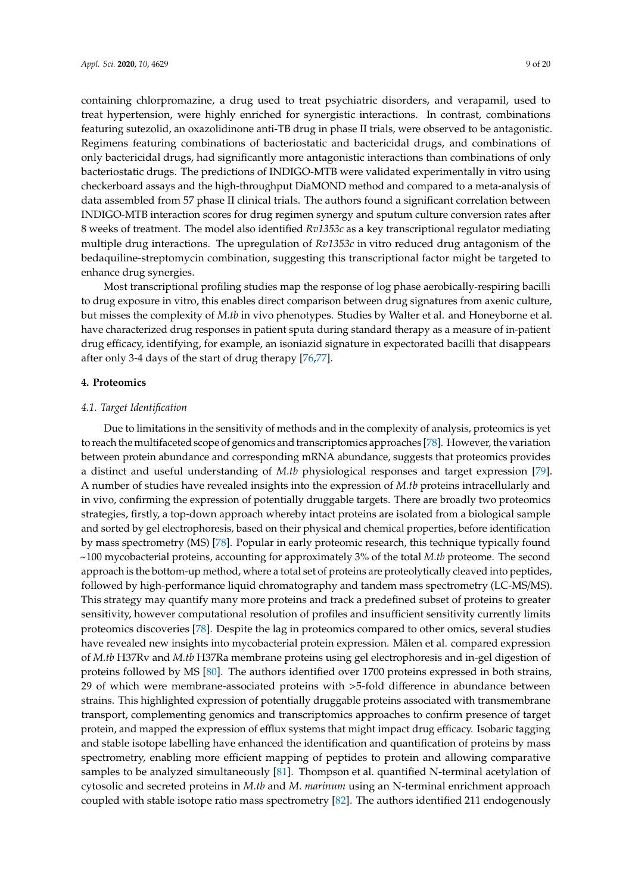containing chlorpromazine, a drug used to treat psychiatric disorders, and verapamil, used to treat hypertension, were highly enriched for synergistic interactions. In contrast, combinations featuring sutezolid, an oxazolidinone anti-TB drug in phase II trials, were observed to be antagonistic. Regimens featuring combinations of bacteriostatic and bactericidal drugs, and combinations of only bactericidal drugs, had significantly more antagonistic interactions than combinations of only bacteriostatic drugs. The predictions of INDIGO-MTB were validated experimentally in vitro using checkerboard assays and the high-throughput DiaMOND method and compared to a meta-analysis of data assembled from 57 phase II clinical trials. The authors found a significant correlation between INDIGO-MTB interaction scores for drug regimen synergy and sputum culture conversion rates after 8 weeks of treatment. The model also identified *Rv1353c* as a key transcriptional regulator mediating multiple drug interactions. The upregulation of *Rv1353c* in vitro reduced drug antagonism of the bedaquiline-streptomycin combination, suggesting this transcriptional factor might be targeted to enhance drug synergies.

Most transcriptional profiling studies map the response of log phase aerobically-respiring bacilli to drug exposure in vitro, this enables direct comparison between drug signatures from axenic culture, but misses the complexity of *M.tb* in vivo phenotypes. Studies by Walter et al. and Honeyborne et al. have characterized drug responses in patient sputa during standard therapy as a measure of in-patient drug efficacy, identifying, for example, an isoniazid signature in expectorated bacilli that disappears after only 3-4 days of the start of drug therapy [\[76](#page-17-8)[,77\]](#page-17-9).

#### **4. Proteomics**

#### *4.1. Target Identification*

Due to limitations in the sensitivity of methods and in the complexity of analysis, proteomics is yet to reach the multifaceted scope of genomics and transcriptomics approaches [\[78\]](#page-17-10). However, the variation between protein abundance and corresponding mRNA abundance, suggests that proteomics provides a distinct and useful understanding of *M.tb* physiological responses and target expression [\[79\]](#page-17-11). A number of studies have revealed insights into the expression of *M.tb* proteins intracellularly and in vivo, confirming the expression of potentially druggable targets. There are broadly two proteomics strategies, firstly, a top-down approach whereby intact proteins are isolated from a biological sample and sorted by gel electrophoresis, based on their physical and chemical properties, before identification by mass spectrometry (MS) [\[78\]](#page-17-10). Popular in early proteomic research, this technique typically found ~100 mycobacterial proteins, accounting for approximately 3% of the total *M.tb* proteome. The second approach is the bottom-up method, where a total set of proteins are proteolytically cleaved into peptides, followed by high-performance liquid chromatography and tandem mass spectrometry (LC-MS/MS). This strategy may quantify many more proteins and track a predefined subset of proteins to greater sensitivity, however computational resolution of profiles and insufficient sensitivity currently limits proteomics discoveries [\[78\]](#page-17-10). Despite the lag in proteomics compared to other omics, several studies have revealed new insights into mycobacterial protein expression. Målen et al. compared expression of *M.tb* H37Rv and *M.tb* H37Ra membrane proteins using gel electrophoresis and in-gel digestion of proteins followed by MS [\[80\]](#page-17-12). The authors identified over 1700 proteins expressed in both strains, 29 of which were membrane-associated proteins with >5-fold difference in abundance between strains. This highlighted expression of potentially druggable proteins associated with transmembrane transport, complementing genomics and transcriptomics approaches to confirm presence of target protein, and mapped the expression of efflux systems that might impact drug efficacy. Isobaric tagging and stable isotope labelling have enhanced the identification and quantification of proteins by mass spectrometry, enabling more efficient mapping of peptides to protein and allowing comparative samples to be analyzed simultaneously [\[81\]](#page-17-13). Thompson et al. quantified N-terminal acetylation of cytosolic and secreted proteins in *M.tb* and *M. marinum* using an N-terminal enrichment approach coupled with stable isotope ratio mass spectrometry [\[82\]](#page-17-14). The authors identified 211 endogenously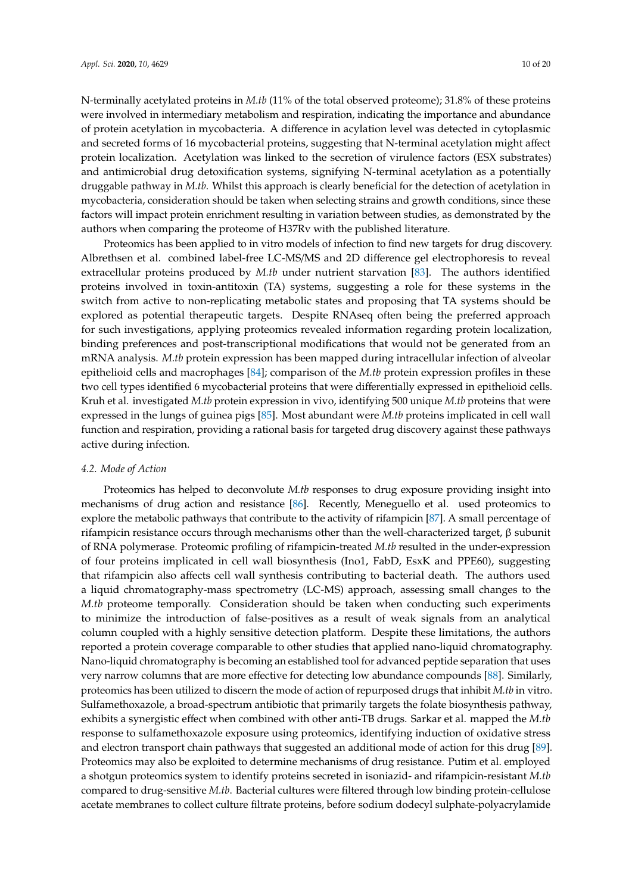N-terminally acetylated proteins in *M.tb* (11% of the total observed proteome); 31.8% of these proteins were involved in intermediary metabolism and respiration, indicating the importance and abundance of protein acetylation in mycobacteria. A difference in acylation level was detected in cytoplasmic and secreted forms of 16 mycobacterial proteins, suggesting that N-terminal acetylation might affect protein localization. Acetylation was linked to the secretion of virulence factors (ESX substrates) and antimicrobial drug detoxification systems, signifying N-terminal acetylation as a potentially druggable pathway in *M.tb*. Whilst this approach is clearly beneficial for the detection of acetylation in mycobacteria, consideration should be taken when selecting strains and growth conditions, since these factors will impact protein enrichment resulting in variation between studies, as demonstrated by the authors when comparing the proteome of H37Rv with the published literature.

Proteomics has been applied to in vitro models of infection to find new targets for drug discovery. Albrethsen et al. combined label-free LC-MS/MS and 2D difference gel electrophoresis to reveal extracellular proteins produced by *M.tb* under nutrient starvation [\[83\]](#page-17-15). The authors identified proteins involved in toxin-antitoxin (TA) systems, suggesting a role for these systems in the switch from active to non-replicating metabolic states and proposing that TA systems should be explored as potential therapeutic targets. Despite RNAseq often being the preferred approach for such investigations, applying proteomics revealed information regarding protein localization, binding preferences and post-transcriptional modifications that would not be generated from an mRNA analysis. *M.tb* protein expression has been mapped during intracellular infection of alveolar epithelioid cells and macrophages [\[84\]](#page-17-16); comparison of the *M.tb* protein expression profiles in these two cell types identified 6 mycobacterial proteins that were differentially expressed in epithelioid cells. Kruh et al. investigated *M.tb* protein expression in vivo, identifying 500 unique *M.tb* proteins that were expressed in the lungs of guinea pigs [\[85\]](#page-17-17). Most abundant were *M.tb* proteins implicated in cell wall function and respiration, providing a rational basis for targeted drug discovery against these pathways active during infection.

## *4.2. Mode of Action*

Proteomics has helped to deconvolute *M.tb* responses to drug exposure providing insight into mechanisms of drug action and resistance [\[86\]](#page-17-18). Recently, Meneguello et al. used proteomics to explore the metabolic pathways that contribute to the activity of rifampicin [\[87\]](#page-18-0). A small percentage of rifampicin resistance occurs through mechanisms other than the well-characterized target, β subunit of RNA polymerase. Proteomic profiling of rifampicin-treated *M.tb* resulted in the under-expression of four proteins implicated in cell wall biosynthesis (Ino1, FabD, EsxK and PPE60), suggesting that rifampicin also affects cell wall synthesis contributing to bacterial death. The authors used a liquid chromatography-mass spectrometry (LC-MS) approach, assessing small changes to the *M.tb* proteome temporally. Consideration should be taken when conducting such experiments to minimize the introduction of false-positives as a result of weak signals from an analytical column coupled with a highly sensitive detection platform. Despite these limitations, the authors reported a protein coverage comparable to other studies that applied nano-liquid chromatography. Nano-liquid chromatography is becoming an established tool for advanced peptide separation that uses very narrow columns that are more effective for detecting low abundance compounds [\[88\]](#page-18-1). Similarly, proteomics has been utilized to discern the mode of action of repurposed drugs that inhibit *M.tb* in vitro. Sulfamethoxazole, a broad-spectrum antibiotic that primarily targets the folate biosynthesis pathway, exhibits a synergistic effect when combined with other anti-TB drugs. Sarkar et al. mapped the *M.tb* response to sulfamethoxazole exposure using proteomics, identifying induction of oxidative stress and electron transport chain pathways that suggested an additional mode of action for this drug [\[89\]](#page-18-2). Proteomics may also be exploited to determine mechanisms of drug resistance. Putim et al. employed a shotgun proteomics system to identify proteins secreted in isoniazid- and rifampicin-resistant *M.tb* compared to drug-sensitive *M.tb*. Bacterial cultures were filtered through low binding protein-cellulose acetate membranes to collect culture filtrate proteins, before sodium dodecyl sulphate-polyacrylamide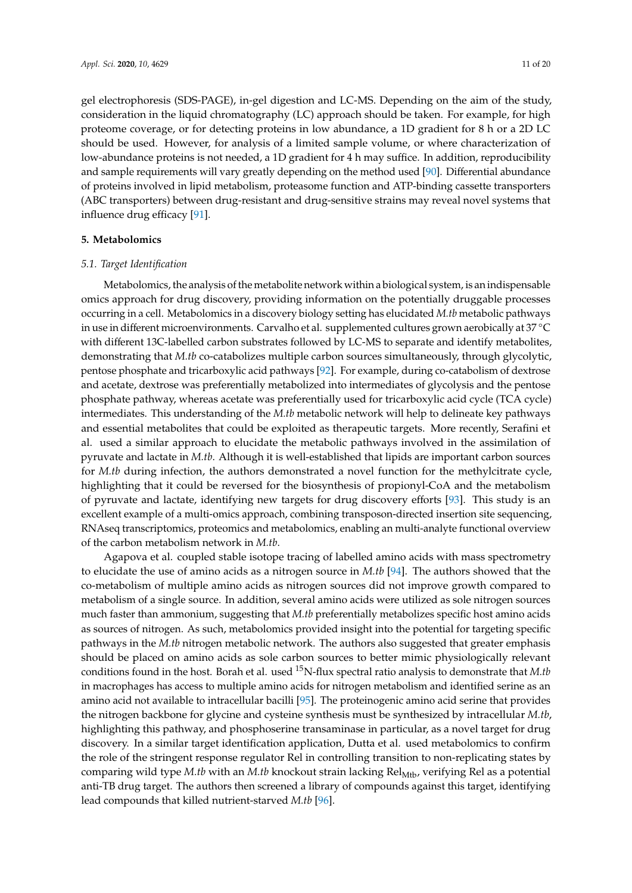gel electrophoresis (SDS-PAGE), in-gel digestion and LC-MS. Depending on the aim of the study, consideration in the liquid chromatography (LC) approach should be taken. For example, for high proteome coverage, or for detecting proteins in low abundance, a 1D gradient for 8 h or a 2D LC should be used. However, for analysis of a limited sample volume, or where characterization of low-abundance proteins is not needed, a 1D gradient for 4 h may suffice. In addition, reproducibility and sample requirements will vary greatly depending on the method used [\[90\]](#page-18-3). Differential abundance of proteins involved in lipid metabolism, proteasome function and ATP-binding cassette transporters (ABC transporters) between drug-resistant and drug-sensitive strains may reveal novel systems that influence drug efficacy [\[91\]](#page-18-4).

# **5. Metabolomics**

## *5.1. Target Identification*

Metabolomics, the analysis of the metabolite network within a biological system, is an indispensable omics approach for drug discovery, providing information on the potentially druggable processes occurring in a cell. Metabolomics in a discovery biology setting has elucidated *M.tb* metabolic pathways in use in different microenvironments. Carvalho et al. supplemented cultures grown aerobically at 37 ◦<sup>C</sup> with different 13C-labelled carbon substrates followed by LC-MS to separate and identify metabolites, demonstrating that *M.tb* co-catabolizes multiple carbon sources simultaneously, through glycolytic, pentose phosphate and tricarboxylic acid pathways [\[92\]](#page-18-5). For example, during co-catabolism of dextrose and acetate, dextrose was preferentially metabolized into intermediates of glycolysis and the pentose phosphate pathway, whereas acetate was preferentially used for tricarboxylic acid cycle (TCA cycle) intermediates. This understanding of the *M.tb* metabolic network will help to delineate key pathways and essential metabolites that could be exploited as therapeutic targets. More recently, Serafini et al. used a similar approach to elucidate the metabolic pathways involved in the assimilation of pyruvate and lactate in *M.tb*. Although it is well-established that lipids are important carbon sources for *M.tb* during infection, the authors demonstrated a novel function for the methylcitrate cycle, highlighting that it could be reversed for the biosynthesis of propionyl-CoA and the metabolism of pyruvate and lactate, identifying new targets for drug discovery efforts [\[93\]](#page-18-6). This study is an excellent example of a multi-omics approach, combining transposon-directed insertion site sequencing, RNAseq transcriptomics, proteomics and metabolomics, enabling an multi-analyte functional overview of the carbon metabolism network in *M.tb*.

Agapova et al. coupled stable isotope tracing of labelled amino acids with mass spectrometry to elucidate the use of amino acids as a nitrogen source in *M.tb* [\[94\]](#page-18-7). The authors showed that the co-metabolism of multiple amino acids as nitrogen sources did not improve growth compared to metabolism of a single source. In addition, several amino acids were utilized as sole nitrogen sources much faster than ammonium, suggesting that *M.tb* preferentially metabolizes specific host amino acids as sources of nitrogen. As such, metabolomics provided insight into the potential for targeting specific pathways in the *M.tb* nitrogen metabolic network. The authors also suggested that greater emphasis should be placed on amino acids as sole carbon sources to better mimic physiologically relevant conditions found in the host. Borah et al. used <sup>15</sup>N-flux spectral ratio analysis to demonstrate that *M.tb* in macrophages has access to multiple amino acids for nitrogen metabolism and identified serine as an amino acid not available to intracellular bacilli [\[95\]](#page-18-8). The proteinogenic amino acid serine that provides the nitrogen backbone for glycine and cysteine synthesis must be synthesized by intracellular *M.tb*, highlighting this pathway, and phosphoserine transaminase in particular, as a novel target for drug discovery. In a similar target identification application, Dutta et al. used metabolomics to confirm the role of the stringent response regulator Rel in controlling transition to non-replicating states by comparing wild type *M.tb* with an *M.tb* knockout strain lacking Rel<sub>Mtb</sub>, verifying Rel as a potential anti-TB drug target. The authors then screened a library of compounds against this target, identifying lead compounds that killed nutrient-starved *M.tb* [\[96\]](#page-18-9).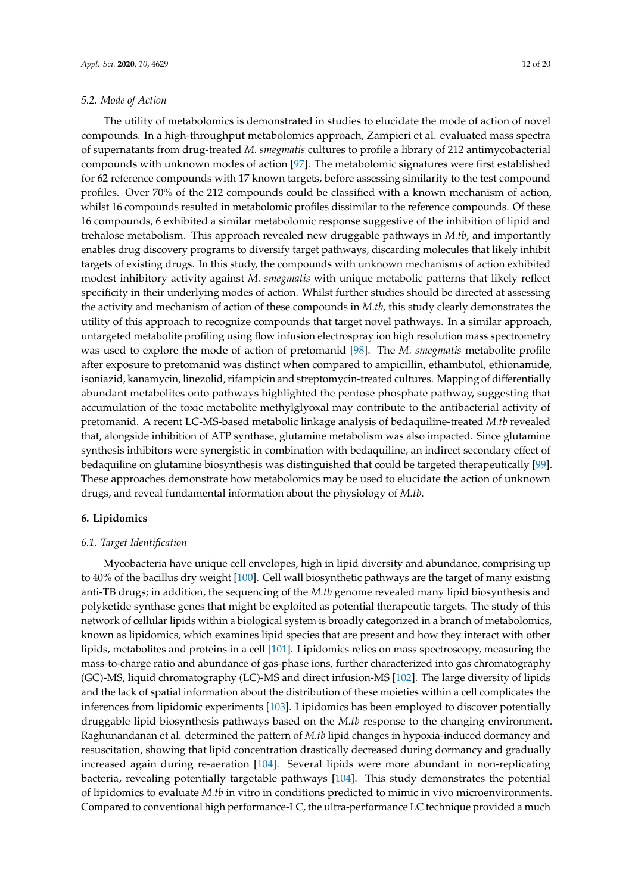# *5.2. Mode of Action*

The utility of metabolomics is demonstrated in studies to elucidate the mode of action of novel compounds. In a high-throughput metabolomics approach, Zampieri et al. evaluated mass spectra of supernatants from drug-treated *M. smegmatis* cultures to profile a library of 212 antimycobacterial compounds with unknown modes of action [\[97\]](#page-18-10). The metabolomic signatures were first established for 62 reference compounds with 17 known targets, before assessing similarity to the test compound profiles. Over 70% of the 212 compounds could be classified with a known mechanism of action, whilst 16 compounds resulted in metabolomic profiles dissimilar to the reference compounds. Of these 16 compounds, 6 exhibited a similar metabolomic response suggestive of the inhibition of lipid and trehalose metabolism. This approach revealed new druggable pathways in *M.tb*, and importantly enables drug discovery programs to diversify target pathways, discarding molecules that likely inhibit targets of existing drugs. In this study, the compounds with unknown mechanisms of action exhibited modest inhibitory activity against *M. smegmatis* with unique metabolic patterns that likely reflect specificity in their underlying modes of action. Whilst further studies should be directed at assessing the activity and mechanism of action of these compounds in *M.tb*, this study clearly demonstrates the utility of this approach to recognize compounds that target novel pathways. In a similar approach, untargeted metabolite profiling using flow infusion electrospray ion high resolution mass spectrometry was used to explore the mode of action of pretomanid [\[98\]](#page-18-11). The *M. smegmatis* metabolite profile after exposure to pretomanid was distinct when compared to ampicillin, ethambutol, ethionamide, isoniazid, kanamycin, linezolid, rifampicin and streptomycin-treated cultures. Mapping of differentially abundant metabolites onto pathways highlighted the pentose phosphate pathway, suggesting that accumulation of the toxic metabolite methylglyoxal may contribute to the antibacterial activity of pretomanid. A recent LC-MS-based metabolic linkage analysis of bedaquiline-treated *M.tb* revealed that, alongside inhibition of ATP synthase, glutamine metabolism was also impacted. Since glutamine synthesis inhibitors were synergistic in combination with bedaquiline, an indirect secondary effect of bedaquiline on glutamine biosynthesis was distinguished that could be targeted therapeutically [\[99\]](#page-18-12). These approaches demonstrate how metabolomics may be used to elucidate the action of unknown drugs, and reveal fundamental information about the physiology of *M.tb*.

# **6. Lipidomics**

# *6.1. Target Identification*

Mycobacteria have unique cell envelopes, high in lipid diversity and abundance, comprising up to 40% of the bacillus dry weight [\[100\]](#page-18-13). Cell wall biosynthetic pathways are the target of many existing anti-TB drugs; in addition, the sequencing of the *M.tb* genome revealed many lipid biosynthesis and polyketide synthase genes that might be exploited as potential therapeutic targets. The study of this network of cellular lipids within a biological system is broadly categorized in a branch of metabolomics, known as lipidomics, which examines lipid species that are present and how they interact with other lipids, metabolites and proteins in a cell [\[101\]](#page-18-14). Lipidomics relies on mass spectroscopy, measuring the mass-to-charge ratio and abundance of gas-phase ions, further characterized into gas chromatography (GC)-MS, liquid chromatography (LC)-MS and direct infusion-MS [\[102\]](#page-18-15). The large diversity of lipids and the lack of spatial information about the distribution of these moieties within a cell complicates the inferences from lipidomic experiments [\[103\]](#page-18-16). Lipidomics has been employed to discover potentially druggable lipid biosynthesis pathways based on the *M.tb* response to the changing environment. Raghunandanan et al. determined the pattern of *M.tb* lipid changes in hypoxia-induced dormancy and resuscitation, showing that lipid concentration drastically decreased during dormancy and gradually increased again during re-aeration [\[104\]](#page-18-17). Several lipids were more abundant in non-replicating bacteria, revealing potentially targetable pathways [\[104\]](#page-18-17). This study demonstrates the potential of lipidomics to evaluate *M.tb* in vitro in conditions predicted to mimic in vivo microenvironments. Compared to conventional high performance-LC, the ultra-performance LC technique provided a much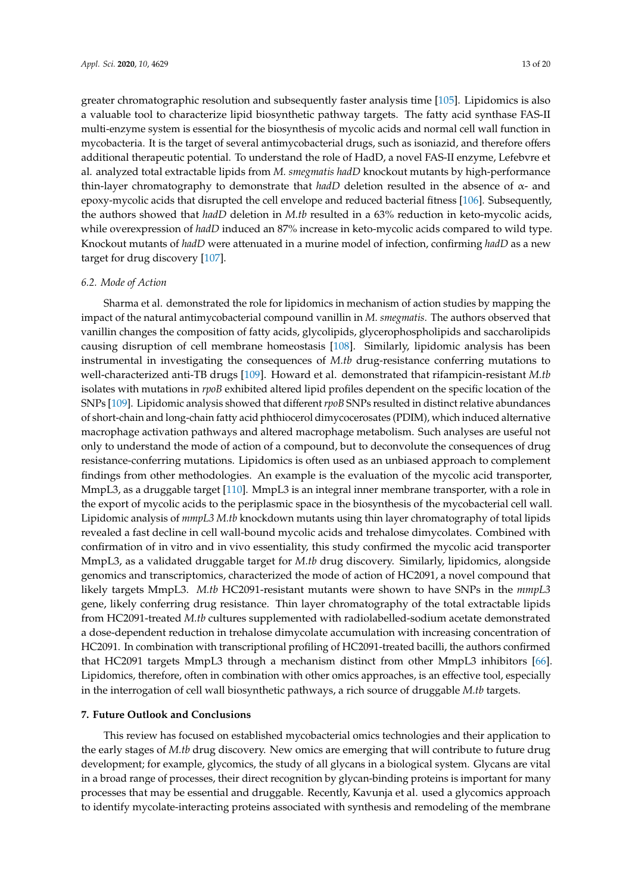greater chromatographic resolution and subsequently faster analysis time [\[105\]](#page-18-18). Lipidomics is also a valuable tool to characterize lipid biosynthetic pathway targets. The fatty acid synthase FAS-II multi-enzyme system is essential for the biosynthesis of mycolic acids and normal cell wall function in mycobacteria. It is the target of several antimycobacterial drugs, such as isoniazid, and therefore offers additional therapeutic potential. To understand the role of HadD, a novel FAS-II enzyme, Lefebvre et al. analyzed total extractable lipids from *M. smegmatis hadD* knockout mutants by high-performance thin-layer chromatography to demonstrate that *hadD* deletion resulted in the absence of α- and epoxy-mycolic acids that disrupted the cell envelope and reduced bacterial fitness [\[106\]](#page-19-0). Subsequently, the authors showed that *hadD* deletion in *M.tb* resulted in a 63% reduction in keto-mycolic acids, while overexpression of *hadD* induced an 87% increase in keto-mycolic acids compared to wild type. Knockout mutants of *hadD* were attenuated in a murine model of infection, confirming *hadD* as a new target for drug discovery [\[107\]](#page-19-1).

## *6.2. Mode of Action*

Sharma et al. demonstrated the role for lipidomics in mechanism of action studies by mapping the impact of the natural antimycobacterial compound vanillin in *M. smegmatis*. The authors observed that vanillin changes the composition of fatty acids, glycolipids, glycerophospholipids and saccharolipids causing disruption of cell membrane homeostasis [\[108\]](#page-19-2). Similarly, lipidomic analysis has been instrumental in investigating the consequences of *M.tb* drug-resistance conferring mutations to well-characterized anti-TB drugs [\[109\]](#page-19-3). Howard et al. demonstrated that rifampicin-resistant *M.tb* isolates with mutations in *rpoB* exhibited altered lipid profiles dependent on the specific location of the SNPs [\[109\]](#page-19-3). Lipidomic analysis showed that different *rpoB* SNPs resulted in distinct relative abundances of short-chain and long-chain fatty acid phthiocerol dimycocerosates (PDIM), which induced alternative macrophage activation pathways and altered macrophage metabolism. Such analyses are useful not only to understand the mode of action of a compound, but to deconvolute the consequences of drug resistance-conferring mutations. Lipidomics is often used as an unbiased approach to complement findings from other methodologies. An example is the evaluation of the mycolic acid transporter, MmpL3, as a druggable target [\[110\]](#page-19-4). MmpL3 is an integral inner membrane transporter, with a role in the export of mycolic acids to the periplasmic space in the biosynthesis of the mycobacterial cell wall. Lipidomic analysis of *mmpL3 M.tb* knockdown mutants using thin layer chromatography of total lipids revealed a fast decline in cell wall-bound mycolic acids and trehalose dimycolates. Combined with confirmation of in vitro and in vivo essentiality, this study confirmed the mycolic acid transporter MmpL3, as a validated druggable target for *M.tb* drug discovery. Similarly, lipidomics, alongside genomics and transcriptomics, characterized the mode of action of HC2091, a novel compound that likely targets MmpL3. *M.tb* HC2091-resistant mutants were shown to have SNPs in the *mmpL3* gene, likely conferring drug resistance. Thin layer chromatography of the total extractable lipids from HC2091-treated *M.tb* cultures supplemented with radiolabelled-sodium acetate demonstrated a dose-dependent reduction in trehalose dimycolate accumulation with increasing concentration of HC2091. In combination with transcriptional profiling of HC2091-treated bacilli, the authors confirmed that HC2091 targets MmpL3 through a mechanism distinct from other MmpL3 inhibitors [\[66\]](#page-16-15). Lipidomics, therefore, often in combination with other omics approaches, is an effective tool, especially in the interrogation of cell wall biosynthetic pathways, a rich source of druggable *M.tb* targets.

## **7. Future Outlook and Conclusions**

This review has focused on established mycobacterial omics technologies and their application to the early stages of *M.tb* drug discovery. New omics are emerging that will contribute to future drug development; for example, glycomics, the study of all glycans in a biological system. Glycans are vital in a broad range of processes, their direct recognition by glycan-binding proteins is important for many processes that may be essential and druggable. Recently, Kavunja et al. used a glycomics approach to identify mycolate-interacting proteins associated with synthesis and remodeling of the membrane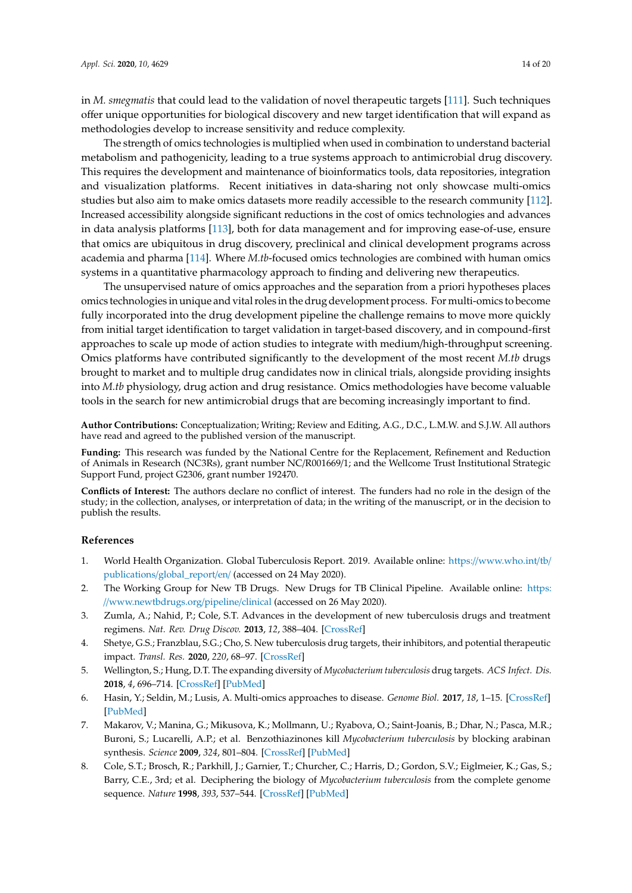in *M. smegmatis* that could lead to the validation of novel therapeutic targets [\[111\]](#page-19-5). Such techniques offer unique opportunities for biological discovery and new target identification that will expand as methodologies develop to increase sensitivity and reduce complexity.

The strength of omics technologies is multiplied when used in combination to understand bacterial metabolism and pathogenicity, leading to a true systems approach to antimicrobial drug discovery. This requires the development and maintenance of bioinformatics tools, data repositories, integration and visualization platforms. Recent initiatives in data-sharing not only showcase multi-omics studies but also aim to make omics datasets more readily accessible to the research community [\[112\]](#page-19-6). Increased accessibility alongside significant reductions in the cost of omics technologies and advances in data analysis platforms [\[113\]](#page-19-7), both for data management and for improving ease-of-use, ensure that omics are ubiquitous in drug discovery, preclinical and clinical development programs across academia and pharma [\[114\]](#page-19-8). Where *M.tb*-focused omics technologies are combined with human omics systems in a quantitative pharmacology approach to finding and delivering new therapeutics.

The unsupervised nature of omics approaches and the separation from a priori hypotheses places omics technologies in unique and vital roles in the drug development process. For multi-omics to become fully incorporated into the drug development pipeline the challenge remains to move more quickly from initial target identification to target validation in target-based discovery, and in compound-first approaches to scale up mode of action studies to integrate with medium/high-throughput screening. Omics platforms have contributed significantly to the development of the most recent *M.tb* drugs brought to market and to multiple drug candidates now in clinical trials, alongside providing insights into *M.tb* physiology, drug action and drug resistance. Omics methodologies have become valuable tools in the search for new antimicrobial drugs that are becoming increasingly important to find.

**Author Contributions:** Conceptualization; Writing; Review and Editing, A.G., D.C., L.M.W. and S.J.W. All authors have read and agreed to the published version of the manuscript.

**Funding:** This research was funded by the National Centre for the Replacement, Refinement and Reduction of Animals in Research (NC3Rs), grant number NC/R001669/1; and the Wellcome Trust Institutional Strategic Support Fund, project G2306, grant number 192470.

**Conflicts of Interest:** The authors declare no conflict of interest. The funders had no role in the design of the study; in the collection, analyses, or interpretation of data; in the writing of the manuscript, or in the decision to publish the results.

#### **References**

- <span id="page-13-0"></span>1. World Health Organization. Global Tuberculosis Report. 2019. Available online: https://[www.who.int](https://www.who.int/tb/publications/global_report/en/)/tb/ publications/[global\\_report](https://www.who.int/tb/publications/global_report/en/)/en/ (accessed on 24 May 2020).
- <span id="page-13-1"></span>2. The Working Group for New TB Drugs. New Drugs for TB Clinical Pipeline. Available online: [https:](https://www.newtbdrugs.org/pipeline/clinical) //[www.newtbdrugs.org](https://www.newtbdrugs.org/pipeline/clinical)/pipeline/clinical (accessed on 26 May 2020).
- <span id="page-13-2"></span>3. Zumla, A.; Nahid, P.; Cole, S.T. Advances in the development of new tuberculosis drugs and treatment regimens. *Nat. Rev. Drug Discov.* **2013**, *12*, 388–404. [\[CrossRef\]](http://dx.doi.org/10.1038/nrd4001)
- 4. Shetye, G.S.; Franzblau, S.G.; Cho, S. New tuberculosis drug targets, their inhibitors, and potential therapeutic impact. *Transl. Res.* **2020**, *220*, 68–97. [\[CrossRef\]](http://dx.doi.org/10.1016/j.trsl.2020.03.007)
- <span id="page-13-3"></span>5. Wellington, S.; Hung, D.T. The expanding diversity of *Mycobacterium tuberculosis* drug targets. *ACS Infect. Dis.* **2018**, *4*, 696–714. [\[CrossRef\]](http://dx.doi.org/10.1021/acsinfecdis.7b00255) [\[PubMed\]](http://www.ncbi.nlm.nih.gov/pubmed/29412643)
- <span id="page-13-4"></span>6. Hasin, Y.; Seldin, M.; Lusis, A. Multi-omics approaches to disease. *Genome Biol.* **2017**, *18*, 1–15. [\[CrossRef\]](http://dx.doi.org/10.1186/s13059-017-1215-1) [\[PubMed\]](http://www.ncbi.nlm.nih.gov/pubmed/28476144)
- <span id="page-13-5"></span>7. Makarov, V.; Manina, G.; Mikusova, K.; Mollmann, U.; Ryabova, O.; Saint-Joanis, B.; Dhar, N.; Pasca, M.R.; Buroni, S.; Lucarelli, A.P.; et al. Benzothiazinones kill *Mycobacterium tuberculosis* by blocking arabinan synthesis. *Science* **2009**, *324*, 801–804. [\[CrossRef\]](http://dx.doi.org/10.1126/science.1171583) [\[PubMed\]](http://www.ncbi.nlm.nih.gov/pubmed/19299584)
- <span id="page-13-6"></span>8. Cole, S.T.; Brosch, R.; Parkhill, J.; Garnier, T.; Churcher, C.; Harris, D.; Gordon, S.V.; Eiglmeier, K.; Gas, S.; Barry, C.E., 3rd; et al. Deciphering the biology of *Mycobacterium tuberculosis* from the complete genome sequence. *Nature* **1998**, *393*, 537–544. [\[CrossRef\]](http://dx.doi.org/10.1038/31159) [\[PubMed\]](http://www.ncbi.nlm.nih.gov/pubmed/9634230)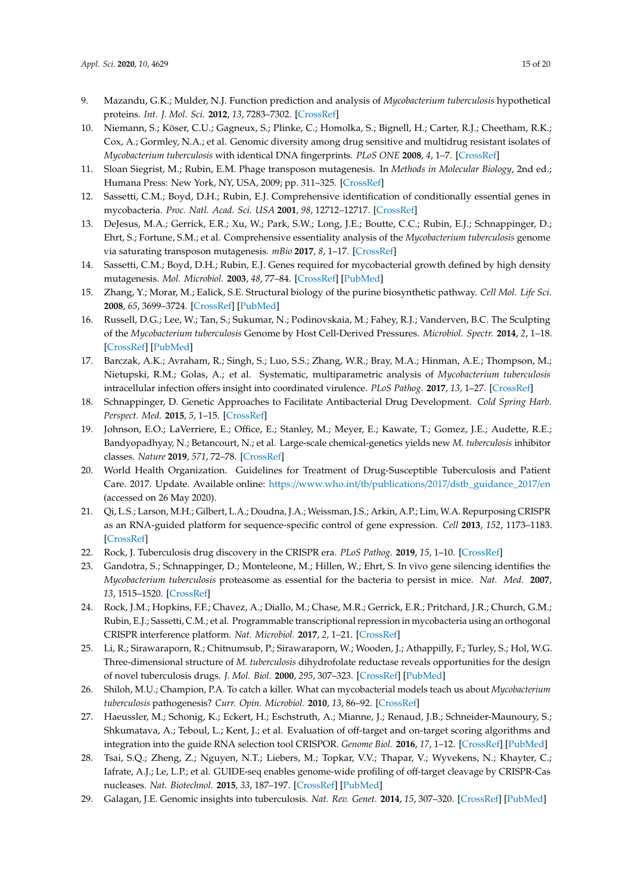- <span id="page-14-0"></span>9. Mazandu, G.K.; Mulder, N.J. Function prediction and analysis of *Mycobacterium tuberculosis* hypothetical proteins. *Int. J. Mol. Sci.* **2012**, *13*, 7283–7302. [\[CrossRef\]](http://dx.doi.org/10.3390/ijms13067283)
- <span id="page-14-1"></span>10. Niemann, S.; Köser, C.U.; Gagneux, S.; Plinke, C.; Homolka, S.; Bignell, H.; Carter, R.J.; Cheetham, R.K.; Cox, A.; Gormley, N.A.; et al. Genomic diversity among drug sensitive and multidrug resistant isolates of *Mycobacterium tuberculosis* with identical DNA fingerprints. *PLoS ONE* **2008**, *4*, 1–7. [\[CrossRef\]](http://dx.doi.org/10.1371/journal.pone.0007407)
- <span id="page-14-2"></span>11. Sloan Siegrist, M.; Rubin, E.M. Phage transposon mutagenesis. In *Methods in Molecular Biology*, 2nd ed.; Humana Press: New York, NY, USA, 2009; pp. 311–325. [\[CrossRef\]](http://dx.doi.org/10.1007/978-1-59745-207-6)
- <span id="page-14-3"></span>12. Sassetti, C.M.; Boyd, D.H.; Rubin, E.J. Comprehensive identification of conditionally essential genes in mycobacteria. *Proc. Natl. Acad. Sci. USA* **2001**, *98*, 12712–12717. [\[CrossRef\]](http://dx.doi.org/10.1073/pnas.231275498)
- <span id="page-14-4"></span>13. DeJesus, M.A.; Gerrick, E.R.; Xu, W.; Park, S.W.; Long, J.E.; Boutte, C.C.; Rubin, E.J.; Schnappinger, D.; Ehrt, S.; Fortune, S.M.; et al. Comprehensive essentiality analysis of the *Mycobacterium tuberculosis* genome via saturating transposon mutagenesis. *mBio* **2017**, *8*, 1–17. [\[CrossRef\]](http://dx.doi.org/10.1128/mBio.02133-16)
- <span id="page-14-5"></span>14. Sassetti, C.M.; Boyd, D.H.; Rubin, E.J. Genes required for mycobacterial growth defined by high density mutagenesis. *Mol. Microbiol.* **2003**, *48*, 77–84. [\[CrossRef\]](http://dx.doi.org/10.1046/j.1365-2958.2003.03425.x) [\[PubMed\]](http://www.ncbi.nlm.nih.gov/pubmed/12657046)
- <span id="page-14-6"></span>15. Zhang, Y.; Morar, M.; Ealick, S.E. Structural biology of the purine biosynthetic pathway. *Cell Mol. Life Sci.* **2008**, *65*, 3699–3724. [\[CrossRef\]](http://dx.doi.org/10.1007/s00018-008-8295-8) [\[PubMed\]](http://www.ncbi.nlm.nih.gov/pubmed/18712276)
- <span id="page-14-7"></span>16. Russell, D.G.; Lee, W.; Tan, S.; Sukumar, N.; Podinovskaia, M.; Fahey, R.J.; Vanderven, B.C. The Sculpting of the *Mycobacterium tuberculosis* Genome by Host Cell-Derived Pressures. *Microbiol. Spectr.* **2014**, *2*, 1–18. [\[CrossRef\]](http://dx.doi.org/10.1128/microbiolspec.MGM2-0016-2013) [\[PubMed\]](http://www.ncbi.nlm.nih.gov/pubmed/25584198)
- <span id="page-14-8"></span>17. Barczak, A.K.; Avraham, R.; Singh, S.; Luo, S.S.; Zhang, W.R.; Bray, M.A.; Hinman, A.E.; Thompson, M.; Nietupski, R.M.; Golas, A.; et al. Systematic, multiparametric analysis of *Mycobacterium tuberculosis* intracellular infection offers insight into coordinated virulence. *PLoS Pathog.* **2017**, *13*, 1–27. [\[CrossRef\]](http://dx.doi.org/10.1371/journal.ppat.1006363)
- <span id="page-14-9"></span>18. Schnappinger, D. Genetic Approaches to Facilitate Antibacterial Drug Development. *Cold Spring Harb. Perspect. Med.* **2015**, *5*, 1–15. [\[CrossRef\]](http://dx.doi.org/10.1101/cshperspect.a021139)
- <span id="page-14-10"></span>19. Johnson, E.O.; LaVerriere, E.; Office, E.; Stanley, M.; Meyer, E.; Kawate, T.; Gomez, J.E.; Audette, R.E.; Bandyopadhyay, N.; Betancourt, N.; et al. Large-scale chemical-genetics yields new *M. tuberculosis* inhibitor classes. *Nature* **2019**, *571*, 72–78. [\[CrossRef\]](http://dx.doi.org/10.1038/s41586-019-1315-z)
- <span id="page-14-11"></span>20. World Health Organization. Guidelines for Treatment of Drug-Susceptible Tuberculosis and Patient Care. 2017. Update. Available online: https://www.who.int/tb/publications/2017/[dstb\\_guidance\\_2017](https://www.who.int/tb/publications/2017/dstb_guidance_2017/en)/en (accessed on 26 May 2020).
- <span id="page-14-12"></span>21. Qi, L.S.; Larson, M.H.; Gilbert, L.A.; Doudna, J.A.; Weissman, J.S.; Arkin, A.P.; Lim, W.A. Repurposing CRISPR as an RNA-guided platform for sequence-specific control of gene expression. *Cell* **2013**, *152*, 1173–1183. [\[CrossRef\]](http://dx.doi.org/10.1016/j.cell.2013.02.022)
- <span id="page-14-13"></span>22. Rock, J. Tuberculosis drug discovery in the CRISPR era. *PLoS Pathog.* **2019**, *15*, 1–10. [\[CrossRef\]](http://dx.doi.org/10.1371/journal.ppat.1007975)
- <span id="page-14-14"></span>23. Gandotra, S.; Schnappinger, D.; Monteleone, M.; Hillen, W.; Ehrt, S. In vivo gene silencing identifies the *Mycobacterium tuberculosis* proteasome as essential for the bacteria to persist in mice. *Nat. Med.* **2007**, *13*, 1515–1520. [\[CrossRef\]](http://dx.doi.org/10.1038/nm1683)
- <span id="page-14-15"></span>24. Rock, J.M.; Hopkins, F.F.; Chavez, A.; Diallo, M.; Chase, M.R.; Gerrick, E.R.; Pritchard, J.R.; Church, G.M.; Rubin, E.J.; Sassetti, C.M.; et al. Programmable transcriptional repression in mycobacteria using an orthogonal CRISPR interference platform. *Nat. Microbiol.* **2017**, *2*, 1–21. [\[CrossRef\]](http://dx.doi.org/10.1038/nmicrobiol.2016.274)
- <span id="page-14-16"></span>25. Li, R.; Sirawaraporn, R.; Chitnumsub, P.; Sirawaraporn, W.; Wooden, J.; Athappilly, F.; Turley, S.; Hol, W.G. Three-dimensional structure of *M. tuberculosis* dihydrofolate reductase reveals opportunities for the design of novel tuberculosis drugs. *J. Mol. Biol.* **2000**, *295*, 307–323. [\[CrossRef\]](http://dx.doi.org/10.1006/jmbi.1999.3328) [\[PubMed\]](http://www.ncbi.nlm.nih.gov/pubmed/10623528)
- <span id="page-14-17"></span>26. Shiloh, M.U.; Champion, P.A. To catch a killer. What can mycobacterial models teach us about *Mycobacterium tuberculosis* pathogenesis? *Curr. Opin. Microbiol.* **2010**, *13*, 86–92. [\[CrossRef\]](http://dx.doi.org/10.1016/j.mib.2009.11.006)
- <span id="page-14-18"></span>27. Haeussler, M.; Schonig, K.; Eckert, H.; Eschstruth, A.; Mianne, J.; Renaud, J.B.; Schneider-Maunoury, S.; Shkumatava, A.; Teboul, L.; Kent, J.; et al. Evaluation of off-target and on-target scoring algorithms and integration into the guide RNA selection tool CRISPOR. *Genome Biol.* **2016**, *17*, 1–12. [\[CrossRef\]](http://dx.doi.org/10.1186/s13059-016-1012-2) [\[PubMed\]](http://www.ncbi.nlm.nih.gov/pubmed/27380939)
- <span id="page-14-19"></span>28. Tsai, S.Q.; Zheng, Z.; Nguyen, N.T.; Liebers, M.; Topkar, V.V.; Thapar, V.; Wyvekens, N.; Khayter, C.; Iafrate, A.J.; Le, L.P.; et al. GUIDE-seq enables genome-wide profiling of off-target cleavage by CRISPR-Cas nucleases. *Nat. Biotechnol.* **2015**, *33*, 187–197. [\[CrossRef\]](http://dx.doi.org/10.1038/nbt.3117) [\[PubMed\]](http://www.ncbi.nlm.nih.gov/pubmed/25513782)
- <span id="page-14-20"></span>29. Galagan, J.E. Genomic insights into tuberculosis. *Nat. Rev. Genet.* **2014**, *15*, 307–320. [\[CrossRef\]](http://dx.doi.org/10.1038/nrg3664) [\[PubMed\]](http://www.ncbi.nlm.nih.gov/pubmed/24662221)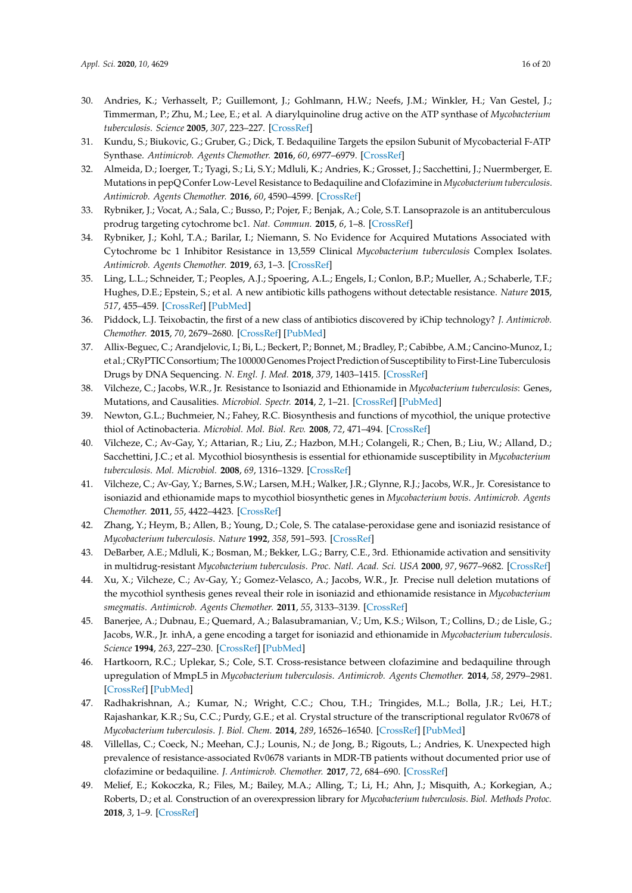- <span id="page-15-0"></span>30. Andries, K.; Verhasselt, P.; Guillemont, J.; Gohlmann, H.W.; Neefs, J.M.; Winkler, H.; Van Gestel, J.; Timmerman, P.; Zhu, M.; Lee, E.; et al. A diarylquinoline drug active on the ATP synthase of *Mycobacterium tuberculosis*. *Science* **2005**, *307*, 223–227. [\[CrossRef\]](http://dx.doi.org/10.1126/science.1106753)
- <span id="page-15-1"></span>31. Kundu, S.; Biukovic, G.; Gruber, G.; Dick, T. Bedaquiline Targets the epsilon Subunit of Mycobacterial F-ATP Synthase. *Antimicrob. Agents Chemother.* **2016**, *60*, 6977–6979. [\[CrossRef\]](http://dx.doi.org/10.1128/AAC.01291-16)
- <span id="page-15-2"></span>32. Almeida, D.; Ioerger, T.; Tyagi, S.; Li, S.Y.; Mdluli, K.; Andries, K.; Grosset, J.; Sacchettini, J.; Nuermberger, E. Mutations in pepQ Confer Low-Level Resistance to Bedaquiline and Clofazimine in *Mycobacterium tuberculosis*. *Antimicrob. Agents Chemother.* **2016**, *60*, 4590–4599. [\[CrossRef\]](http://dx.doi.org/10.1128/AAC.00753-16)
- <span id="page-15-3"></span>33. Rybniker, J.; Vocat, A.; Sala, C.; Busso, P.; Pojer, F.; Benjak, A.; Cole, S.T. Lansoprazole is an antituberculous prodrug targeting cytochrome bc1. *Nat. Commun.* **2015**, *6*, 1–8. [\[CrossRef\]](http://dx.doi.org/10.1038/ncomms8659)
- <span id="page-15-4"></span>34. Rybniker, J.; Kohl, T.A.; Barilar, I.; Niemann, S. No Evidence for Acquired Mutations Associated with Cytochrome bc 1 Inhibitor Resistance in 13,559 Clinical *Mycobacterium tuberculosis* Complex Isolates. *Antimicrob. Agents Chemother.* **2019**, *63*, 1–3. [\[CrossRef\]](http://dx.doi.org/10.1128/AAC.01317-18)
- <span id="page-15-5"></span>35. Ling, L.L.; Schneider, T.; Peoples, A.J.; Spoering, A.L.; Engels, I.; Conlon, B.P.; Mueller, A.; Schaberle, T.F.; Hughes, D.E.; Epstein, S.; et al. A new antibiotic kills pathogens without detectable resistance. *Nature* **2015**, *517*, 455–459. [\[CrossRef\]](http://dx.doi.org/10.1038/nature14098) [\[PubMed\]](http://www.ncbi.nlm.nih.gov/pubmed/25561178)
- <span id="page-15-6"></span>36. Piddock, L.J. Teixobactin, the first of a new class of antibiotics discovered by iChip technology? *J. Antimicrob. Chemother.* **2015**, *70*, 2679–2680. [\[CrossRef\]](http://dx.doi.org/10.1093/jac/dkv175) [\[PubMed\]](http://www.ncbi.nlm.nih.gov/pubmed/26089440)
- <span id="page-15-7"></span>37. Allix-Beguec, C.; Arandjelovic, I.; Bi, L.; Beckert, P.; Bonnet, M.; Bradley, P.; Cabibbe, A.M.; Cancino-Munoz, I.; et al.; CRyPTIC Consortium; The 100000 Genomes Project Prediction of Susceptibility to First-Line Tuberculosis Drugs by DNA Sequencing. *N. Engl. J. Med.* **2018**, *379*, 1403–1415. [\[CrossRef\]](http://dx.doi.org/10.1056/NEJMoa1800474)
- <span id="page-15-8"></span>38. Vilcheze, C.; Jacobs, W.R., Jr. Resistance to Isoniazid and Ethionamide in *Mycobacterium tuberculosis*: Genes, Mutations, and Causalities. *Microbiol. Spectr.* **2014**, *2*, 1–21. [\[CrossRef\]](http://dx.doi.org/10.1128/microbiolspec.MGM2-0014-2013) [\[PubMed\]](http://www.ncbi.nlm.nih.gov/pubmed/26104204)
- <span id="page-15-9"></span>39. Newton, G.L.; Buchmeier, N.; Fahey, R.C. Biosynthesis and functions of mycothiol, the unique protective thiol of Actinobacteria. *Microbiol. Mol. Biol. Rev.* **2008**, *72*, 471–494. [\[CrossRef\]](http://dx.doi.org/10.1128/MMBR.00008-08)
- <span id="page-15-10"></span>40. Vilcheze, C.; Av-Gay, Y.; Attarian, R.; Liu, Z.; Hazbon, M.H.; Colangeli, R.; Chen, B.; Liu, W.; Alland, D.; Sacchettini, J.C.; et al. Mycothiol biosynthesis is essential for ethionamide susceptibility in *Mycobacterium tuberculosis*. *Mol. Microbiol.* **2008**, *69*, 1316–1329. [\[CrossRef\]](http://dx.doi.org/10.1111/j.1365-2958.2008.06365.x)
- <span id="page-15-11"></span>41. Vilcheze, C.; Av-Gay, Y.; Barnes, S.W.; Larsen, M.H.; Walker, J.R.; Glynne, R.J.; Jacobs, W.R., Jr. Coresistance to isoniazid and ethionamide maps to mycothiol biosynthetic genes in *Mycobacterium bovis*. *Antimicrob. Agents Chemother.* **2011**, *55*, 4422–4423. [\[CrossRef\]](http://dx.doi.org/10.1128/AAC.00564-11)
- <span id="page-15-12"></span>42. Zhang, Y.; Heym, B.; Allen, B.; Young, D.; Cole, S. The catalase-peroxidase gene and isoniazid resistance of *Mycobacterium tuberculosis*. *Nature* **1992**, *358*, 591–593. [\[CrossRef\]](http://dx.doi.org/10.1038/358591a0)
- <span id="page-15-13"></span>43. DeBarber, A.E.; Mdluli, K.; Bosman, M.; Bekker, L.G.; Barry, C.E., 3rd. Ethionamide activation and sensitivity in multidrug-resistant *Mycobacterium tuberculosis*. *Proc. Natl. Acad. Sci. USA* **2000**, *97*, 9677–9682. [\[CrossRef\]](http://dx.doi.org/10.1073/pnas.97.17.9677)
- <span id="page-15-14"></span>44. Xu, X.; Vilcheze, C.; Av-Gay, Y.; Gomez-Velasco, A.; Jacobs, W.R., Jr. Precise null deletion mutations of the mycothiol synthesis genes reveal their role in isoniazid and ethionamide resistance in *Mycobacterium smegmatis*. *Antimicrob. Agents Chemother.* **2011**, *55*, 3133–3139. [\[CrossRef\]](http://dx.doi.org/10.1128/AAC.00020-11)
- <span id="page-15-15"></span>45. Banerjee, A.; Dubnau, E.; Quemard, A.; Balasubramanian, V.; Um, K.S.; Wilson, T.; Collins, D.; de Lisle, G.; Jacobs, W.R., Jr. inhA, a gene encoding a target for isoniazid and ethionamide in *Mycobacterium tuberculosis*. *Science* **1994**, *263*, 227–230. [\[CrossRef\]](http://dx.doi.org/10.1126/science.8284673) [\[PubMed\]](http://www.ncbi.nlm.nih.gov/pubmed/8284673)
- <span id="page-15-16"></span>46. Hartkoorn, R.C.; Uplekar, S.; Cole, S.T. Cross-resistance between clofazimine and bedaquiline through upregulation of MmpL5 in *Mycobacterium tuberculosis*. *Antimicrob. Agents Chemother.* **2014**, *58*, 2979–2981. [\[CrossRef\]](http://dx.doi.org/10.1128/AAC.00037-14) [\[PubMed\]](http://www.ncbi.nlm.nih.gov/pubmed/24590481)
- <span id="page-15-17"></span>47. Radhakrishnan, A.; Kumar, N.; Wright, C.C.; Chou, T.H.; Tringides, M.L.; Bolla, J.R.; Lei, H.T.; Rajashankar, K.R.; Su, C.C.; Purdy, G.E.; et al. Crystal structure of the transcriptional regulator Rv0678 of *Mycobacterium tuberculosis*. *J. Biol. Chem.* **2014**, *289*, 16526–16540. [\[CrossRef\]](http://dx.doi.org/10.1074/jbc.M113.538959) [\[PubMed\]](http://www.ncbi.nlm.nih.gov/pubmed/24737322)
- <span id="page-15-18"></span>48. Villellas, C.; Coeck, N.; Meehan, C.J.; Lounis, N.; de Jong, B.; Rigouts, L.; Andries, K. Unexpected high prevalence of resistance-associated Rv0678 variants in MDR-TB patients without documented prior use of clofazimine or bedaquiline. *J. Antimicrob. Chemother.* **2017**, *72*, 684–690. [\[CrossRef\]](http://dx.doi.org/10.1093/jac/dkw502)
- <span id="page-15-19"></span>49. Melief, E.; Kokoczka, R.; Files, M.; Bailey, M.A.; Alling, T.; Li, H.; Ahn, J.; Misquith, A.; Korkegian, A.; Roberts, D.; et al. Construction of an overexpression library for *Mycobacterium tuberculosis*. *Biol. Methods Protoc.* **2018**, *3*, 1–9. [\[CrossRef\]](http://dx.doi.org/10.1093/biomethods/bpy009)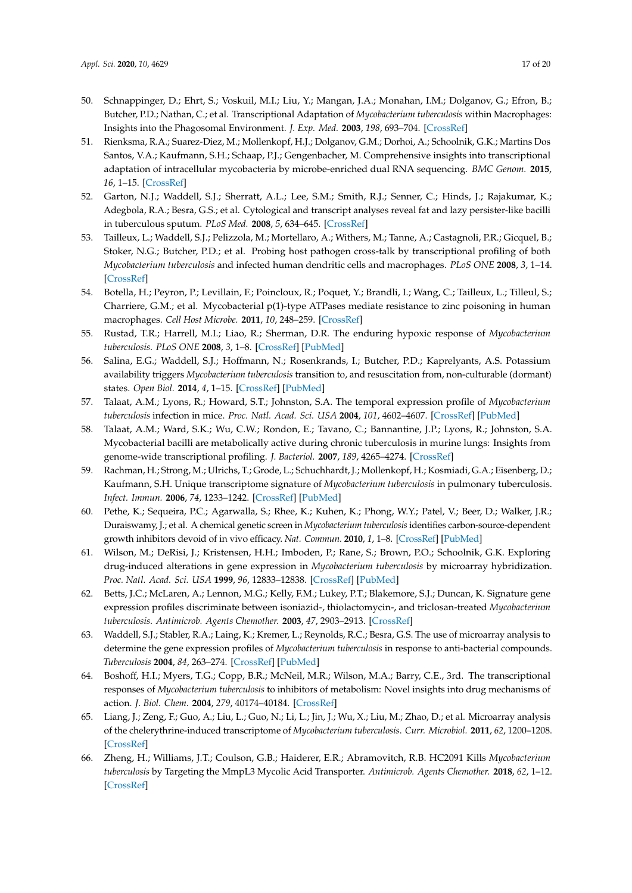- <span id="page-16-0"></span>50. Schnappinger, D.; Ehrt, S.; Voskuil, M.I.; Liu, Y.; Mangan, J.A.; Monahan, I.M.; Dolganov, G.; Efron, B.; Butcher, P.D.; Nathan, C.; et al. Transcriptional Adaptation of *Mycobacterium tuberculosis* within Macrophages: Insights into the Phagosomal Environment. *J. Exp. Med.* **2003**, *198*, 693–704. [\[CrossRef\]](http://dx.doi.org/10.1084/jem.20030846)
- <span id="page-16-1"></span>51. Rienksma, R.A.; Suarez-Diez, M.; Mollenkopf, H.J.; Dolganov, G.M.; Dorhoi, A.; Schoolnik, G.K.; Martins Dos Santos, V.A.; Kaufmann, S.H.; Schaap, P.J.; Gengenbacher, M. Comprehensive insights into transcriptional adaptation of intracellular mycobacteria by microbe-enriched dual RNA sequencing. *BMC Genom.* **2015**, *16*, 1–15. [\[CrossRef\]](http://dx.doi.org/10.1186/s12864-014-1197-2)
- <span id="page-16-2"></span>52. Garton, N.J.; Waddell, S.J.; Sherratt, A.L.; Lee, S.M.; Smith, R.J.; Senner, C.; Hinds, J.; Rajakumar, K.; Adegbola, R.A.; Besra, G.S.; et al. Cytological and transcript analyses reveal fat and lazy persister-like bacilli in tuberculous sputum. *PLoS Med.* **2008**, *5*, 634–645. [\[CrossRef\]](http://dx.doi.org/10.1371/journal.pmed.0050075)
- <span id="page-16-3"></span>53. Tailleux, L.; Waddell, S.J.; Pelizzola, M.; Mortellaro, A.; Withers, M.; Tanne, A.; Castagnoli, P.R.; Gicquel, B.; Stoker, N.G.; Butcher, P.D.; et al. Probing host pathogen cross-talk by transcriptional profiling of both *Mycobacterium tuberculosis* and infected human dendritic cells and macrophages. *PLoS ONE* **2008**, *3*, 1–14. [\[CrossRef\]](http://dx.doi.org/10.1371/journal.pone.0001403)
- <span id="page-16-4"></span>54. Botella, H.; Peyron, P.; Levillain, F.; Poincloux, R.; Poquet, Y.; Brandli, I.; Wang, C.; Tailleux, L.; Tilleul, S.; Charriere, G.M.; et al. Mycobacterial p(1)-type ATPases mediate resistance to zinc poisoning in human macrophages. *Cell Host Microbe.* **2011**, *10*, 248–259. [\[CrossRef\]](http://dx.doi.org/10.1016/j.chom.2011.08.006)
- <span id="page-16-5"></span>55. Rustad, T.R.; Harrell, M.I.; Liao, R.; Sherman, D.R. The enduring hypoxic response of *Mycobacterium tuberculosis*. *PLoS ONE* **2008**, *3*, 1–8. [\[CrossRef\]](http://dx.doi.org/10.1371/journal.pone.0001502) [\[PubMed\]](http://www.ncbi.nlm.nih.gov/pubmed/18231589)
- <span id="page-16-6"></span>56. Salina, E.G.; Waddell, S.J.; Hoffmann, N.; Rosenkrands, I.; Butcher, P.D.; Kaprelyants, A.S. Potassium availability triggers *Mycobacterium tuberculosis* transition to, and resuscitation from, non-culturable (dormant) states. *Open Biol.* **2014**, *4*, 1–15. [\[CrossRef\]](http://dx.doi.org/10.1098/rsob.140106) [\[PubMed\]](http://www.ncbi.nlm.nih.gov/pubmed/25320096)
- <span id="page-16-7"></span>57. Talaat, A.M.; Lyons, R.; Howard, S.T.; Johnston, S.A. The temporal expression profile of *Mycobacterium tuberculosis* infection in mice. *Proc. Natl. Acad. Sci. USA* **2004**, *101*, 4602–4607. [\[CrossRef\]](http://dx.doi.org/10.1073/pnas.0306023101) [\[PubMed\]](http://www.ncbi.nlm.nih.gov/pubmed/15070764)
- <span id="page-16-8"></span>58. Talaat, A.M.; Ward, S.K.; Wu, C.W.; Rondon, E.; Tavano, C.; Bannantine, J.P.; Lyons, R.; Johnston, S.A. Mycobacterial bacilli are metabolically active during chronic tuberculosis in murine lungs: Insights from genome-wide transcriptional profiling. *J. Bacteriol.* **2007**, *189*, 4265–4274. [\[CrossRef\]](http://dx.doi.org/10.1128/JB.00011-07)
- <span id="page-16-9"></span>59. Rachman, H.; Strong, M.; Ulrichs, T.; Grode, L.; Schuchhardt, J.; Mollenkopf, H.; Kosmiadi, G.A.; Eisenberg, D.; Kaufmann, S.H. Unique transcriptome signature of *Mycobacterium tuberculosis* in pulmonary tuberculosis. *Infect. Immun.* **2006**, *74*, 1233–1242. [\[CrossRef\]](http://dx.doi.org/10.1128/IAI.74.2.1233-1242.2006) [\[PubMed\]](http://www.ncbi.nlm.nih.gov/pubmed/16428773)
- <span id="page-16-10"></span>60. Pethe, K.; Sequeira, P.C.; Agarwalla, S.; Rhee, K.; Kuhen, K.; Phong, W.Y.; Patel, V.; Beer, D.; Walker, J.R.; Duraiswamy, J.; et al. A chemical genetic screen in *Mycobacterium tuberculosis* identifies carbon-source-dependent growth inhibitors devoid of in vivo efficacy. *Nat. Commun.* **2010**, *1*, 1–8. [\[CrossRef\]](http://dx.doi.org/10.1038/ncomms1060) [\[PubMed\]](http://www.ncbi.nlm.nih.gov/pubmed/20975714)
- <span id="page-16-11"></span>61. Wilson, M.; DeRisi, J.; Kristensen, H.H.; Imboden, P.; Rane, S.; Brown, P.O.; Schoolnik, G.K. Exploring drug-induced alterations in gene expression in *Mycobacterium tuberculosis* by microarray hybridization. *Proc. Natl. Acad. Sci. USA* **1999**, *96*, 12833–12838. [\[CrossRef\]](http://dx.doi.org/10.1073/pnas.96.22.12833) [\[PubMed\]](http://www.ncbi.nlm.nih.gov/pubmed/10536008)
- <span id="page-16-12"></span>62. Betts, J.C.; McLaren, A.; Lennon, M.G.; Kelly, F.M.; Lukey, P.T.; Blakemore, S.J.; Duncan, K. Signature gene expression profiles discriminate between isoniazid-, thiolactomycin-, and triclosan-treated *Mycobacterium tuberculosis*. *Antimicrob. Agents Chemother.* **2003**, *47*, 2903–2913. [\[CrossRef\]](http://dx.doi.org/10.1128/AAC.47.9.2903-2913.2003)
- 63. Waddell, S.J.; Stabler, R.A.; Laing, K.; Kremer, L.; Reynolds, R.C.; Besra, G.S. The use of microarray analysis to determine the gene expression profiles of *Mycobacterium tuberculosis* in response to anti-bacterial compounds. *Tuberculosis* **2004**, *84*, 263–274. [\[CrossRef\]](http://dx.doi.org/10.1016/j.tube.2003.12.005) [\[PubMed\]](http://www.ncbi.nlm.nih.gov/pubmed/15207496)
- <span id="page-16-13"></span>64. Boshoff, H.I.; Myers, T.G.; Copp, B.R.; McNeil, M.R.; Wilson, M.A.; Barry, C.E., 3rd. The transcriptional responses of *Mycobacterium tuberculosis* to inhibitors of metabolism: Novel insights into drug mechanisms of action. *J. Biol. Chem.* **2004**, *279*, 40174–40184. [\[CrossRef\]](http://dx.doi.org/10.1074/jbc.M406796200)
- <span id="page-16-14"></span>65. Liang, J.; Zeng, F.; Guo, A.; Liu, L.; Guo, N.; Li, L.; Jin, J.; Wu, X.; Liu, M.; Zhao, D.; et al. Microarray analysis of the chelerythrine-induced transcriptome of *Mycobacterium tuberculosis*. *Curr. Microbiol.* **2011**, *62*, 1200–1208. [\[CrossRef\]](http://dx.doi.org/10.1007/s00284-010-9837-5)
- <span id="page-16-15"></span>66. Zheng, H.; Williams, J.T.; Coulson, G.B.; Haiderer, E.R.; Abramovitch, R.B. HC2091 Kills *Mycobacterium tuberculosis* by Targeting the MmpL3 Mycolic Acid Transporter. *Antimicrob. Agents Chemother.* **2018**, *62*, 1–12. [\[CrossRef\]](http://dx.doi.org/10.1128/AAC.02459-17)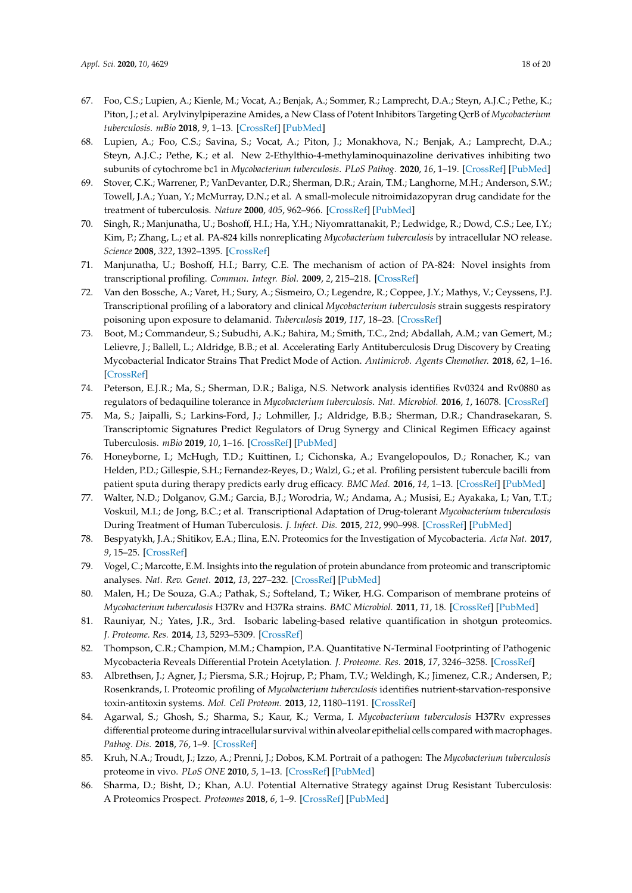- 67. Foo, C.S.; Lupien, A.; Kienle, M.; Vocat, A.; Benjak, A.; Sommer, R.; Lamprecht, D.A.; Steyn, A.J.C.; Pethe, K.; Piton, J.; et al. Arylvinylpiperazine Amides, a New Class of Potent Inhibitors Targeting QcrB of *Mycobacterium tuberculosis*. *mBio* **2018**, *9*, 1–13. [\[CrossRef\]](http://dx.doi.org/10.1128/mBio.01276-18) [\[PubMed\]](http://www.ncbi.nlm.nih.gov/pubmed/30301850)
- <span id="page-17-0"></span>68. Lupien, A.; Foo, C.S.; Savina, S.; Vocat, A.; Piton, J.; Monakhova, N.; Benjak, A.; Lamprecht, D.A.; Steyn, A.J.C.; Pethe, K.; et al. New 2-Ethylthio-4-methylaminoquinazoline derivatives inhibiting two subunits of cytochrome bc1 in *Mycobacterium tuberculosis*. *PLoS Pathog.* **2020**, *16*, 1–19. [\[CrossRef\]](http://dx.doi.org/10.1371/journal.ppat.1008270) [\[PubMed\]](http://www.ncbi.nlm.nih.gov/pubmed/31971990)
- <span id="page-17-1"></span>69. Stover, C.K.; Warrener, P.; VanDevanter, D.R.; Sherman, D.R.; Arain, T.M.; Langhorne, M.H.; Anderson, S.W.; Towell, J.A.; Yuan, Y.; McMurray, D.N.; et al. A small-molecule nitroimidazopyran drug candidate for the treatment of tuberculosis. *Nature* **2000**, *405*, 962–966. [\[CrossRef\]](http://dx.doi.org/10.1038/35016103) [\[PubMed\]](http://www.ncbi.nlm.nih.gov/pubmed/10879539)
- <span id="page-17-2"></span>70. Singh, R.; Manjunatha, U.; Boshoff, H.I.; Ha, Y.H.; Niyomrattanakit, P.; Ledwidge, R.; Dowd, C.S.; Lee, I.Y.; Kim, P.; Zhang, L.; et al. PA-824 kills nonreplicating *Mycobacterium tuberculosis* by intracellular NO release. *Science* **2008**, *322*, 1392–1395. [\[CrossRef\]](http://dx.doi.org/10.1126/science.1164571)
- <span id="page-17-3"></span>71. Manjunatha, U.; Boshoff, H.I.; Barry, C.E. The mechanism of action of PA-824: Novel insights from transcriptional profiling. *Commun. Integr. Biol.* **2009**, *2*, 215–218. [\[CrossRef\]](http://dx.doi.org/10.4161/cib.2.3.7926)
- <span id="page-17-4"></span>72. Van den Bossche, A.; Varet, H.; Sury, A.; Sismeiro, O.; Legendre, R.; Coppee, J.Y.; Mathys, V.; Ceyssens, P.J. Transcriptional profiling of a laboratory and clinical *Mycobacterium tuberculosis* strain suggests respiratory poisoning upon exposure to delamanid. *Tuberculosis* **2019**, *117*, 18–23. [\[CrossRef\]](http://dx.doi.org/10.1016/j.tube.2019.05.002)
- <span id="page-17-5"></span>73. Boot, M.; Commandeur, S.; Subudhi, A.K.; Bahira, M.; Smith, T.C., 2nd; Abdallah, A.M.; van Gemert, M.; Lelievre, J.; Ballell, L.; Aldridge, B.B.; et al. Accelerating Early Antituberculosis Drug Discovery by Creating Mycobacterial Indicator Strains That Predict Mode of Action. *Antimicrob. Agents Chemother.* **2018**, *62*, 1–16. [\[CrossRef\]](http://dx.doi.org/10.1128/AAC.00083-18)
- <span id="page-17-6"></span>74. Peterson, E.J.R.; Ma, S.; Sherman, D.R.; Baliga, N.S. Network analysis identifies Rv0324 and Rv0880 as regulators of bedaquiline tolerance in *Mycobacterium tuberculosis*. *Nat. Microbiol.* **2016**, *1*, 16078. [\[CrossRef\]](http://dx.doi.org/10.1038/nmicrobiol.2016.78)
- <span id="page-17-7"></span>75. Ma, S.; Jaipalli, S.; Larkins-Ford, J.; Lohmiller, J.; Aldridge, B.B.; Sherman, D.R.; Chandrasekaran, S. Transcriptomic Signatures Predict Regulators of Drug Synergy and Clinical Regimen Efficacy against Tuberculosis. *mBio* **2019**, *10*, 1–16. [\[CrossRef\]](http://dx.doi.org/10.1128/mBio.02627-19) [\[PubMed\]](http://www.ncbi.nlm.nih.gov/pubmed/31719182)
- <span id="page-17-8"></span>76. Honeyborne, I.; McHugh, T.D.; Kuittinen, I.; Cichonska, A.; Evangelopoulos, D.; Ronacher, K.; van Helden, P.D.; Gillespie, S.H.; Fernandez-Reyes, D.; Walzl, G.; et al. Profiling persistent tubercule bacilli from patient sputa during therapy predicts early drug efficacy. *BMC Med.* **2016**, *14*, 1–13. [\[CrossRef\]](http://dx.doi.org/10.1186/s12916-016-0609-3) [\[PubMed\]](http://www.ncbi.nlm.nih.gov/pubmed/27055815)
- <span id="page-17-9"></span>77. Walter, N.D.; Dolganov, G.M.; Garcia, B.J.; Worodria, W.; Andama, A.; Musisi, E.; Ayakaka, I.; Van, T.T.; Voskuil, M.I.; de Jong, B.C.; et al. Transcriptional Adaptation of Drug-tolerant *Mycobacterium tuberculosis* During Treatment of Human Tuberculosis. *J. Infect. Dis.* **2015**, *212*, 990–998. [\[CrossRef\]](http://dx.doi.org/10.1093/infdis/jiv149) [\[PubMed\]](http://www.ncbi.nlm.nih.gov/pubmed/25762787)
- <span id="page-17-10"></span>78. Bespyatykh, J.A.; Shitikov, E.A.; Ilina, E.N. Proteomics for the Investigation of Mycobacteria. *Acta Nat.* **2017**, *9*, 15–25. [\[CrossRef\]](http://dx.doi.org/10.32607/20758251-2017-9-1-15-25)
- <span id="page-17-11"></span>79. Vogel, C.; Marcotte, E.M. Insights into the regulation of protein abundance from proteomic and transcriptomic analyses. *Nat. Rev. Genet.* **2012**, *13*, 227–232. [\[CrossRef\]](http://dx.doi.org/10.1038/nrg3185) [\[PubMed\]](http://www.ncbi.nlm.nih.gov/pubmed/22411467)
- <span id="page-17-12"></span>80. Malen, H.; De Souza, G.A.; Pathak, S.; Softeland, T.; Wiker, H.G. Comparison of membrane proteins of *Mycobacterium tuberculosis* H37Rv and H37Ra strains. *BMC Microbiol.* **2011**, *11*, 18. [\[CrossRef\]](http://dx.doi.org/10.1186/1471-2180-11-18) [\[PubMed\]](http://www.ncbi.nlm.nih.gov/pubmed/21261938)
- <span id="page-17-13"></span>81. Rauniyar, N.; Yates, J.R., 3rd. Isobaric labeling-based relative quantification in shotgun proteomics. *J. Proteome. Res.* **2014**, *13*, 5293–5309. [\[CrossRef\]](http://dx.doi.org/10.1021/pr500880b)
- <span id="page-17-14"></span>82. Thompson, C.R.; Champion, M.M.; Champion, P.A. Quantitative N-Terminal Footprinting of Pathogenic Mycobacteria Reveals Differential Protein Acetylation. *J. Proteome. Res.* **2018**, *17*, 3246–3258. [\[CrossRef\]](http://dx.doi.org/10.1021/acs.jproteome.8b00373)
- <span id="page-17-15"></span>83. Albrethsen, J.; Agner, J.; Piersma, S.R.; Hojrup, P.; Pham, T.V.; Weldingh, K.; Jimenez, C.R.; Andersen, P.; Rosenkrands, I. Proteomic profiling of *Mycobacterium tuberculosis* identifies nutrient-starvation-responsive toxin-antitoxin systems. *Mol. Cell Proteom.* **2013**, *12*, 1180–1191. [\[CrossRef\]](http://dx.doi.org/10.1074/mcp.M112.018846)
- <span id="page-17-16"></span>84. Agarwal, S.; Ghosh, S.; Sharma, S.; Kaur, K.; Verma, I. *Mycobacterium tuberculosis* H37Rv expresses differential proteome during intracellular survival within alveolar epithelial cells compared with macrophages. *Pathog. Dis.* **2018**, *76*, 1–9. [\[CrossRef\]](http://dx.doi.org/10.1093/femspd/fty058)
- <span id="page-17-17"></span>85. Kruh, N.A.; Troudt, J.; Izzo, A.; Prenni, J.; Dobos, K.M. Portrait of a pathogen: The *Mycobacterium tuberculosis* proteome in vivo. *PLoS ONE* **2010**, *5*, 1–13. [\[CrossRef\]](http://dx.doi.org/10.1371/journal.pone.0013938) [\[PubMed\]](http://www.ncbi.nlm.nih.gov/pubmed/21085642)
- <span id="page-17-18"></span>86. Sharma, D.; Bisht, D.; Khan, A.U. Potential Alternative Strategy against Drug Resistant Tuberculosis: A Proteomics Prospect. *Proteomes* **2018**, *6*, 1–9. [\[CrossRef\]](http://dx.doi.org/10.3390/proteomes6020026) [\[PubMed\]](http://www.ncbi.nlm.nih.gov/pubmed/29843395)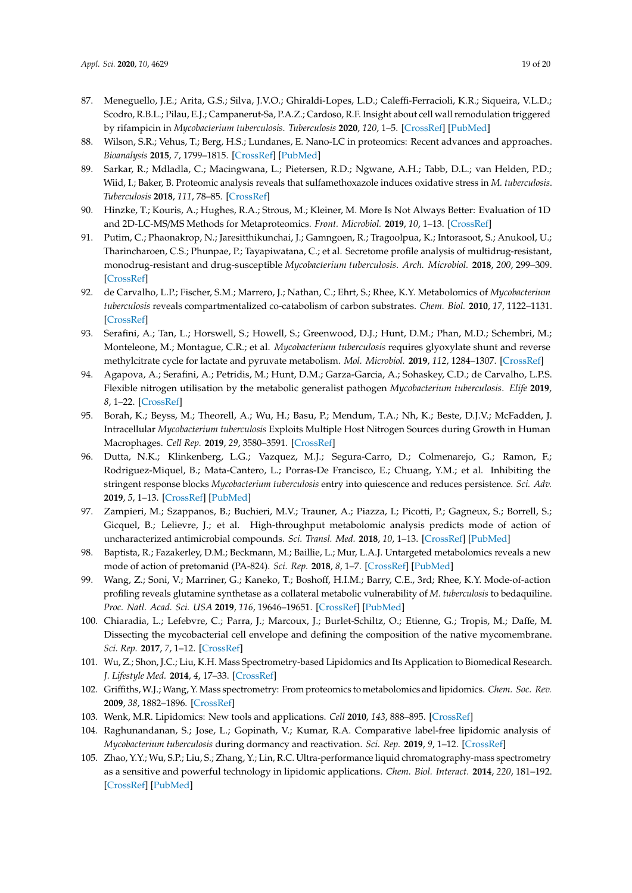- <span id="page-18-0"></span>87. Meneguello, J.E.; Arita, G.S.; Silva, J.V.O.; Ghiraldi-Lopes, L.D.; Caleffi-Ferracioli, K.R.; Siqueira, V.L.D.; Scodro, R.B.L.; Pilau, E.J.; Campanerut-Sa, P.A.Z.; Cardoso, R.F. Insight about cell wall remodulation triggered by rifampicin in *Mycobacterium tuberculosis*. *Tuberculosis* **2020**, *120*, 1–5. [\[CrossRef\]](http://dx.doi.org/10.1016/j.tube.2020.101903) [\[PubMed\]](http://www.ncbi.nlm.nih.gov/pubmed/32090864)
- <span id="page-18-1"></span>88. Wilson, S.R.; Vehus, T.; Berg, H.S.; Lundanes, E. Nano-LC in proteomics: Recent advances and approaches. *Bioanalysis* **2015**, *7*, 1799–1815. [\[CrossRef\]](http://dx.doi.org/10.4155/bio.15.92) [\[PubMed\]](http://www.ncbi.nlm.nih.gov/pubmed/26270786)
- <span id="page-18-2"></span>89. Sarkar, R.; Mdladla, C.; Macingwana, L.; Pietersen, R.D.; Ngwane, A.H.; Tabb, D.L.; van Helden, P.D.; Wiid, I.; Baker, B. Proteomic analysis reveals that sulfamethoxazole induces oxidative stress in *M. tuberculosis*. *Tuberculosis* **2018**, *111*, 78–85. [\[CrossRef\]](http://dx.doi.org/10.1016/j.tube.2018.05.010)
- <span id="page-18-3"></span>90. Hinzke, T.; Kouris, A.; Hughes, R.A.; Strous, M.; Kleiner, M. More Is Not Always Better: Evaluation of 1D and 2D-LC-MS/MS Methods for Metaproteomics. *Front. Microbiol.* **2019**, *10*, 1–13. [\[CrossRef\]](http://dx.doi.org/10.3389/fmicb.2019.00238)
- <span id="page-18-4"></span>91. Putim, C.; Phaonakrop, N.; Jaresitthikunchai, J.; Gamngoen, R.; Tragoolpua, K.; Intorasoot, S.; Anukool, U.; Tharincharoen, C.S.; Phunpae, P.; Tayapiwatana, C.; et al. Secretome profile analysis of multidrug-resistant, monodrug-resistant and drug-susceptible *Mycobacterium tuberculosis*. *Arch. Microbiol.* **2018**, *200*, 299–309. [\[CrossRef\]](http://dx.doi.org/10.1007/s00203-017-1448-0)
- <span id="page-18-5"></span>92. de Carvalho, L.P.; Fischer, S.M.; Marrero, J.; Nathan, C.; Ehrt, S.; Rhee, K.Y. Metabolomics of *Mycobacterium tuberculosis* reveals compartmentalized co-catabolism of carbon substrates. *Chem. Biol.* **2010**, *17*, 1122–1131. [\[CrossRef\]](http://dx.doi.org/10.1016/j.chembiol.2010.08.009)
- <span id="page-18-6"></span>93. Serafini, A.; Tan, L.; Horswell, S.; Howell, S.; Greenwood, D.J.; Hunt, D.M.; Phan, M.D.; Schembri, M.; Monteleone, M.; Montague, C.R.; et al. *Mycobacterium tuberculosis* requires glyoxylate shunt and reverse methylcitrate cycle for lactate and pyruvate metabolism. *Mol. Microbiol.* **2019**, *112*, 1284–1307. [\[CrossRef\]](http://dx.doi.org/10.1111/mmi.14362)
- <span id="page-18-7"></span>94. Agapova, A.; Serafini, A.; Petridis, M.; Hunt, D.M.; Garza-Garcia, A.; Sohaskey, C.D.; de Carvalho, L.P.S. Flexible nitrogen utilisation by the metabolic generalist pathogen *Mycobacterium tuberculosis*. *Elife* **2019**, *8*, 1–22. [\[CrossRef\]](http://dx.doi.org/10.7554/eLife.41129)
- <span id="page-18-8"></span>95. Borah, K.; Beyss, M.; Theorell, A.; Wu, H.; Basu, P.; Mendum, T.A.; Nh, K.; Beste, D.J.V.; McFadden, J. Intracellular *Mycobacterium tuberculosis* Exploits Multiple Host Nitrogen Sources during Growth in Human Macrophages. *Cell Rep.* **2019**, *29*, 3580–3591. [\[CrossRef\]](http://dx.doi.org/10.1016/j.celrep.2019.11.037)
- <span id="page-18-9"></span>96. Dutta, N.K.; Klinkenberg, L.G.; Vazquez, M.J.; Segura-Carro, D.; Colmenarejo, G.; Ramon, F.; Rodriguez-Miquel, B.; Mata-Cantero, L.; Porras-De Francisco, E.; Chuang, Y.M.; et al. Inhibiting the stringent response blocks *Mycobacterium tuberculosis* entry into quiescence and reduces persistence. *Sci. Adv.* **2019**, *5*, 1–13. [\[CrossRef\]](http://dx.doi.org/10.1126/sciadv.aav2104) [\[PubMed\]](http://www.ncbi.nlm.nih.gov/pubmed/30906866)
- <span id="page-18-10"></span>97. Zampieri, M.; Szappanos, B.; Buchieri, M.V.; Trauner, A.; Piazza, I.; Picotti, P.; Gagneux, S.; Borrell, S.; Gicquel, B.; Lelievre, J.; et al. High-throughput metabolomic analysis predicts mode of action of uncharacterized antimicrobial compounds. *Sci. Transl. Med.* **2018**, *10*, 1–13. [\[CrossRef\]](http://dx.doi.org/10.1126/scitranslmed.aal3973) [\[PubMed\]](http://www.ncbi.nlm.nih.gov/pubmed/29467300)
- <span id="page-18-11"></span>98. Baptista, R.; Fazakerley, D.M.; Beckmann, M.; Baillie, L.; Mur, L.A.J. Untargeted metabolomics reveals a new mode of action of pretomanid (PA-824). *Sci. Rep.* **2018**, *8*, 1–7. [\[CrossRef\]](http://dx.doi.org/10.1038/s41598-018-23110-1) [\[PubMed\]](http://www.ncbi.nlm.nih.gov/pubmed/29572459)
- <span id="page-18-12"></span>99. Wang, Z.; Soni, V.; Marriner, G.; Kaneko, T.; Boshoff, H.I.M.; Barry, C.E., 3rd; Rhee, K.Y. Mode-of-action profiling reveals glutamine synthetase as a collateral metabolic vulnerability of *M. tuberculosis* to bedaquiline. *Proc. Natl. Acad. Sci. USA* **2019**, *116*, 19646–19651. [\[CrossRef\]](http://dx.doi.org/10.1073/pnas.1907946116) [\[PubMed\]](http://www.ncbi.nlm.nih.gov/pubmed/31501323)
- <span id="page-18-13"></span>100. Chiaradia, L.; Lefebvre, C.; Parra, J.; Marcoux, J.; Burlet-Schiltz, O.; Etienne, G.; Tropis, M.; Daffe, M. Dissecting the mycobacterial cell envelope and defining the composition of the native mycomembrane. *Sci. Rep.* **2017**, *7*, 1–12. [\[CrossRef\]](http://dx.doi.org/10.1038/s41598-017-12718-4)
- <span id="page-18-14"></span>101. Wu, Z.; Shon, J.C.; Liu, K.H. Mass Spectrometry-based Lipidomics and Its Application to Biomedical Research. *J. Lifestyle Med.* **2014**, *4*, 17–33. [\[CrossRef\]](http://dx.doi.org/10.15280/jlm.2014.4.1.17)
- <span id="page-18-15"></span>102. Griffiths,W.J.; Wang, Y. Mass spectrometry: From proteomics to metabolomics and lipidomics. *Chem. Soc. Rev.* **2009**, *38*, 1882–1896. [\[CrossRef\]](http://dx.doi.org/10.1039/b618553n)
- <span id="page-18-16"></span>103. Wenk, M.R. Lipidomics: New tools and applications. *Cell* **2010**, *143*, 888–895. [\[CrossRef\]](http://dx.doi.org/10.1016/j.cell.2010.11.033)
- <span id="page-18-17"></span>104. Raghunandanan, S.; Jose, L.; Gopinath, V.; Kumar, R.A. Comparative label-free lipidomic analysis of *Mycobacterium tuberculosis* during dormancy and reactivation. *Sci. Rep.* **2019**, *9*, 1–12. [\[CrossRef\]](http://dx.doi.org/10.1038/s41598-019-40051-5)
- <span id="page-18-18"></span>105. Zhao, Y.Y.; Wu, S.P.; Liu, S.; Zhang, Y.; Lin, R.C. Ultra-performance liquid chromatography-mass spectrometry as a sensitive and powerful technology in lipidomic applications. *Chem. Biol. Interact.* **2014**, *220*, 181–192. [\[CrossRef\]](http://dx.doi.org/10.1016/j.cbi.2014.06.029) [\[PubMed\]](http://www.ncbi.nlm.nih.gov/pubmed/25014415)